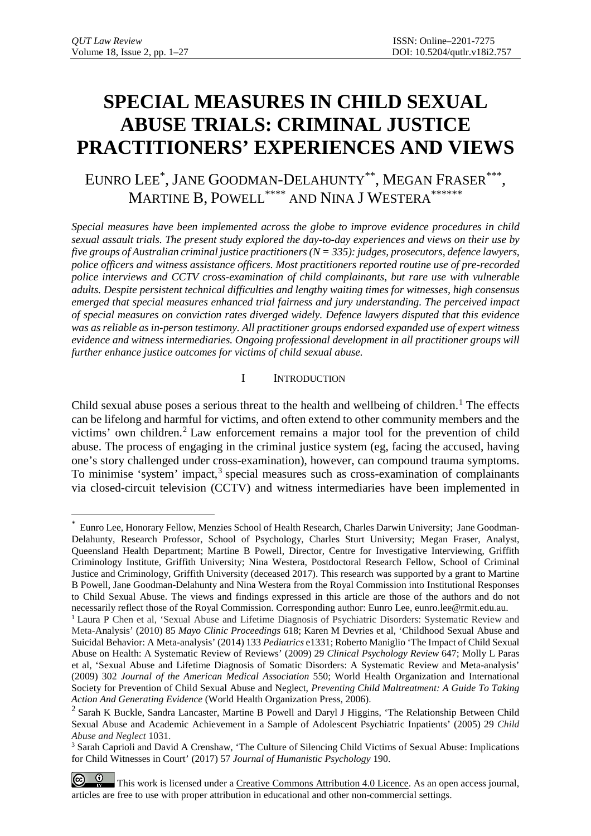# **SPECIAL MEASURES IN CHILD SEXUAL ABUSE TRIALS: CRIMINAL JUSTICE PRACTITIONERS' EXPERIENCES AND VIEWS**

EUNRO LEE\* , JANE GOODMAN-DELAHUNTY\*\*, MEGAN FRASER\*\*\*, MARTINE B, POWELL<sup>\*\*\*\*</sup> AND NINA J WESTERA<sup>\*\*\*\*\*\*</sup>

*Special measures have been implemented across the globe to improve evidence procedures in child sexual assault trials. The present study explored the day-to-day experiences and views on their use by five groups of Australian criminal justice practitioners (N = 335): judges, prosecutors, defence lawyers, police officers and witness assistance officers. Most practitioners reported routine use of pre-recorded police interviews and CCTV cross-examination of child complainants, but rare use with vulnerable adults. Despite persistent technical difficulties and lengthy waiting times for witnesses, high consensus emerged that special measures enhanced trial fairness and jury understanding. The perceived impact of special measures on conviction rates diverged widely. Defence lawyers disputed that this evidence was as reliable as in-person testimony. All practitioner groups endorsed expanded use of expert witness evidence and witness intermediaries. Ongoing professional development in all practitioner groups will further enhance justice outcomes for victims of child sexual abuse.* 

## I INTRODUCTION

Child sexual abuse poses a serious threat to the health and wellbeing of children. [1](#page-0-0) The effects can be lifelong and harmful for victims, and often extend to other community members and the victims' own children. [2](#page-0-1) Law enforcement remains a major tool for the prevention of child abuse. The process of engaging in the criminal justice system (eg, facing the accused, having one's story challenged under cross-examination), however, can compound trauma symptoms. To minimise 'system' impact, [3](#page-0-2) special measures such as cross-examination of complainants via closed-circuit television (CCTV) and witness intermediaries have been implemented in

<span id="page-0-0"></span> <sup>\*</sup> Eunro Lee, Honorary Fellow, Menzies School of Health Research, Charles Darwin University; Jane Goodman-Delahunty, Research Professor, School of Psychology, Charles Sturt University; Megan Fraser, Analyst, Queensland Health Department; Martine B Powell, Director, Centre for Investigative Interviewing, Griffith Criminology Institute, Griffith University; Nina Westera, Postdoctoral Research Fellow, School of Criminal Justice and Criminology, Griffith University (deceased 2017). This research was supported by a grant to Martine B Powell, Jane Goodman-Delahunty and Nina Westera from the Royal Commission into Institutional Responses to Child Sexual Abuse. The views and findings expressed in this article are those of the authors and do not necessarily reflect those of the Royal Commission. Corresponding author: Eunro Lee, eunro.lee@rmit.edu.au.

<sup>1</sup> Laura P Chen et al, 'Sexual Abuse and Lifetime Diagnosis of Psychiatric Disorders: Systematic Review and Meta-Analysis' (2010) 85 *Mayo Clinic Proceedings* 618; Karen M Devries et al, 'Childhood Sexual Abuse and Suicidal Behavior: A Meta-analysis' (2014) 133 *Pediatrics* e1331; Roberto Maniglio 'The Impact of Child Sexual Abuse on Health: A Systematic Review of Reviews' (2009) 29 *Clinical Psychology Review* 647; Molly L Paras et al, 'Sexual Abuse and Lifetime Diagnosis of Somatic Disorders: A Systematic Review and Meta-analysis' (2009) 302 *Journal of the American Medical Association* 550; World Health Organization and International Society for Prevention of Child Sexual Abuse and Neglect, *Preventing Child Maltreatment: A Guide To Taking Action And Generating Evidence* (World Health Organization Press, 2006).

<span id="page-0-1"></span><sup>&</sup>lt;sup>2</sup> Sarah K Buckle, Sandra Lancaster, Martine B Powell and Daryl J Higgins, 'The Relationship Between Child Sexual Abuse and Academic Achievement in a Sample of Adolescent Psychiatric Inpatients' (2005) 29 *Child Abuse and Neglect* 1031.

<span id="page-0-2"></span><sup>&</sup>lt;sup>3</sup> Sarah Caprioli and David A Crenshaw, 'The Culture of Silencing Child Victims of Sexual Abuse: Implications for Child Witnesses in Court' (2017) 57 *Journal of Humanistic Psychology* 190.

 $\left($  $\bullet$ This work is licensed under a [Creative Commons Attribution 4.0 Licence.](https://creativecommons.org/licenses/by/4.0/) As an open access journal, articles are free to use with proper attribution in educational and other non-commercial settings.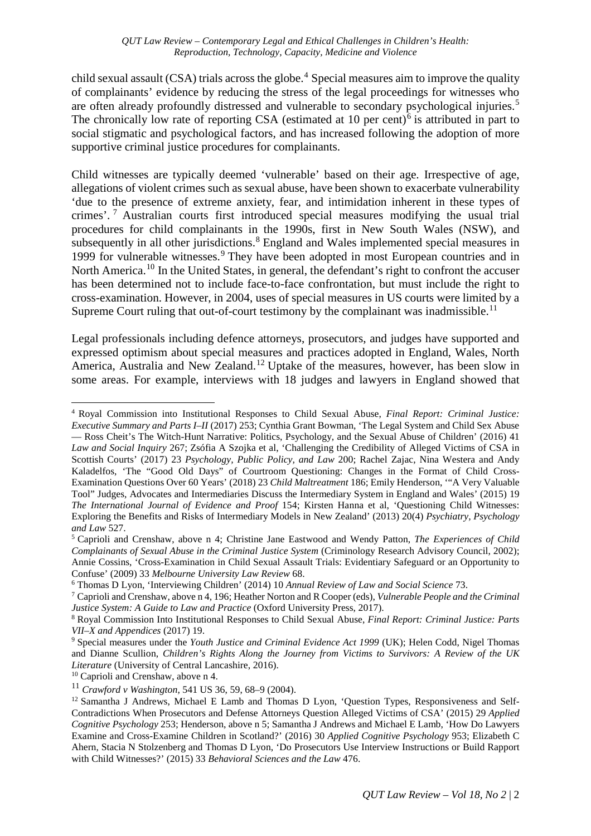#### *QUT Law Review – Contemporary Legal and Ethical Challenges in Children's Health: Reproduction, Technology, Capacity, Medicine and Violence*

child sexual assault (CSA) trials across the globe. [4](#page-1-0) Special measures aim to improve the quality of complainants' evidence by reducing the stress of the legal proceedings for witnesses who are often already profoundly distressed and vulnerable to secondary psychological injuries. [5](#page-1-1) The chronically low rate of reporting CSA (estimated at 10 per cent)<sup>[6](#page-1-2)</sup> is attributed in part to social stigmatic and psychological factors, and has increased following the adoption of more supportive criminal justice procedures for complainants.

Child witnesses are typically deemed 'vulnerable' based on their age. Irrespective of age, allegations of violent crimes such as sexual abuse, have been shown to exacerbate vulnerability 'due to the presence of extreme anxiety, fear, and intimidation inherent in these types of crimes'. [7](#page-1-3) Australian courts first introduced special measures modifying the usual trial procedures for child complainants in the 1990s, first in New South Wales (NSW), and subsequently in all other jurisdictions.<sup>[8](#page-1-4)</sup> England and Wales implemented special measures in 1[9](#page-1-5)99 for vulnerable witnesses.<sup>9</sup> They have been adopted in most European countries and in North America.<sup>[10](#page-1-6)</sup> In the United States, in general, the defendant's right to confront the accuser has been determined not to include face-to-face confrontation, but must include the right to cross-examination. However, in 2004, uses of special measures in US courts were limited by a Supreme Court ruling that out-of-court testimony by the complainant was inadmissible.<sup>11</sup>

Legal professionals including defence attorneys, prosecutors, and judges have supported and expressed optimism about special measures and practices adopted in England, Wales, North America, Australia and New Zealand.<sup>[12](#page-1-8)</sup> Uptake of the measures, however, has been slow in some areas. For example, interviews with 18 judges and lawyers in England showed that

<span id="page-1-0"></span> <sup>4</sup> Royal Commission into Institutional Responses to Child Sexual Abuse, *Final Report: Criminal Justice: Executive Summary and Parts I–II* (2017) 253; Cynthia Grant Bowman, 'The Legal System and Child Sex Abuse — Ross Cheit's The Witch-Hunt Narrative: Politics, Psychology, and the Sexual Abuse of Children' (2016) 41 *Law and Social Inquiry* 267; Zsófia A Szojka et al, 'Challenging the Credibility of Alleged Victims of CSA in Scottish Courts' (2017) 23 *Psychology, Public Policy, and Law* 200; Rachel Zajac, Nina Westera and Andy Kaladelfos, 'The "Good Old Days" of Courtroom Questioning: Changes in the Format of Child Cross-Examination Questions Over 60 Years' (2018) 23 *Child Maltreatment* 186; Emily Henderson, '"A Very Valuable Tool" Judges, Advocates and Intermediaries Discuss the Intermediary System in England and Wales' (2015) 19 *The International Journal of Evidence and Proof* 154; Kirsten Hanna et al, 'Questioning Child Witnesses: Exploring the Benefits and Risks of Intermediary Models in New Zealand' (2013) 20(4) *Psychiatry, Psychology and Law* 527.

<span id="page-1-1"></span><sup>5</sup> Caprioli and Crenshaw, above n 4; Christine Jane Eastwood and Wendy Patton, *The Experiences of Child Complainants of Sexual Abuse in the Criminal Justice System* (Criminology Research Advisory Council, 2002); Annie Cossins, 'Cross-Examination in Child Sexual Assault Trials: Evidentiary Safeguard or an Opportunity to Confuse' (2009) 33 *Melbourne University Law Review* 68.

<span id="page-1-2"></span><sup>6</sup> Thomas D Lyon, 'Interviewing Children' (2014) 10 *Annual Review of Law and Social Science* 73.

<span id="page-1-3"></span><sup>7</sup> Caprioli and Crenshaw, above n 4, 196; Heather Norton and R Cooper (eds), *Vulnerable People and the Criminal Justice System: A Guide to Law and Practice* (Oxford University Press, 2017).

<span id="page-1-4"></span><sup>8</sup> Royal Commission Into Institutional Responses to Child Sexual Abuse, *Final Report: Criminal Justice: Parts VII–X and Appendices* (2017) 19.

<span id="page-1-5"></span><sup>&</sup>lt;sup>9</sup> Special measures under the *Youth Justice and Criminal Evidence Act 1999* (UK); Helen Codd, Nigel Thomas and Dianne Scullion, *Children's Rights Along the Journey from Victims to Survivors: A Review of the UK Literature* (University of Central Lancashire, 2016).

<span id="page-1-6"></span><sup>&</sup>lt;sup>10</sup> Caprioli and Crenshaw, above n 4.

<span id="page-1-7"></span><sup>11</sup> *Crawford v Washington*, 541 US 36, 59, 68–9 (2004).

<span id="page-1-8"></span><sup>&</sup>lt;sup>12</sup> Samantha J Andrews, Michael E Lamb and Thomas D Lyon, 'Question Types, Responsiveness and Self-Contradictions When Prosecutors and Defense Attorneys Question Alleged Victims of CSA' (2015) 29 *Applied Cognitive Psychology* 253; Henderson, above n 5; Samantha J Andrews and Michael E Lamb, 'How Do Lawyers Examine and Cross-Examine Children in Scotland?' (2016) 30 *Applied Cognitive Psychology* 953; Elizabeth C Ahern, Stacia N Stolzenberg and Thomas D Lyon, 'Do Prosecutors Use Interview Instructions or Build Rapport with Child Witnesses?' (2015) 33 *Behavioral Sciences and the Law* 476.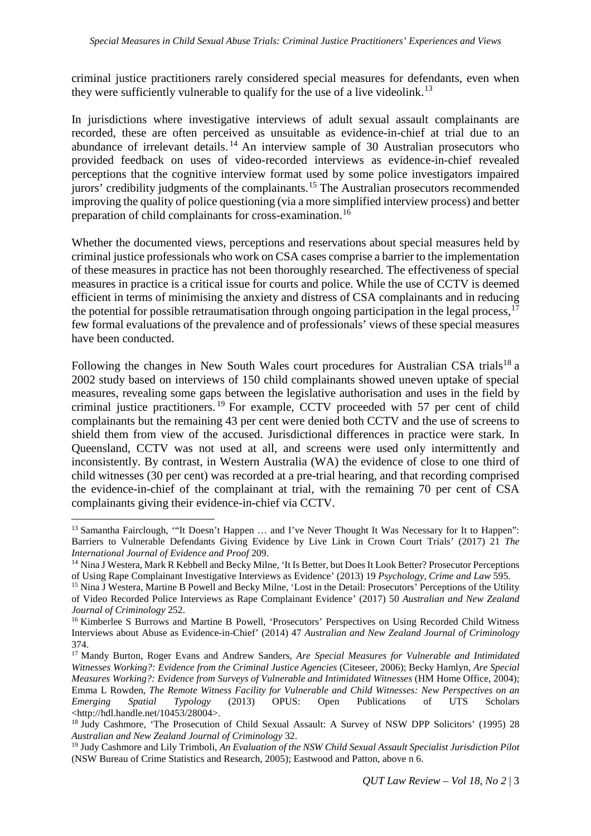criminal justice practitioners rarely considered special measures for defendants, even when they were sufficiently vulnerable to qualify for the use of a live videolink.<sup>[13](#page-2-0)</sup>

In jurisdictions where investigative interviews of adult sexual assault complainants are recorded, these are often perceived as unsuitable as evidence-in-chief at trial due to an abundance of irrelevant details. [14](#page-2-1) An interview sample of 30 Australian prosecutors who provided feedback on uses of video-recorded interviews as evidence-in-chief revealed perceptions that the cognitive interview format used by some police investigators impaired jurors' credibility judgments of the complainants.<sup>[15](#page-2-2)</sup> The Australian prosecutors recommended improving the quality of police questioning (via a more simplified interview process) and better preparation of child complainants for cross-examination.[16](#page-2-3)

Whether the documented views, perceptions and reservations about special measures held by criminal justice professionals who work on CSA cases comprise a barrier to the implementation of these measures in practice has not been thoroughly researched. The effectiveness of special measures in practice is a critical issue for courts and police. While the use of CCTV is deemed efficient in terms of minimising the anxiety and distress of CSA complainants and in reducing the potential for possible retraumatisation through ongoing participation in the legal process,  $17$ few formal evaluations of the prevalence and of professionals' views of these special measures have been conducted.

Following the changes in New South Wales court procedures for Australian CSA trials<sup>[18](#page-2-5)</sup> a 2002 study based on interviews of 150 child complainants showed uneven uptake of special measures, revealing some gaps between the legislative authorisation and uses in the field by criminal justice practitioners. [19](#page-2-6) For example, CCTV proceeded with 57 per cent of child complainants but the remaining 43 per cent were denied both CCTV and the use of screens to shield them from view of the accused. Jurisdictional differences in practice were stark. In Queensland, CCTV was not used at all, and screens were used only intermittently and inconsistently. By contrast, in Western Australia (WA) the evidence of close to one third of child witnesses (30 per cent) was recorded at a pre-trial hearing, and that recording comprised the evidence-in-chief of the complainant at trial, with the remaining 70 per cent of CSA complainants giving their evidence-in-chief via CCTV.

<span id="page-2-0"></span><sup>&</sup>lt;sup>13</sup> Samantha Fairclough, "'It Doesn't Happen ... and I've Never Thought It Was Necessary for It to Happen": Barriers to Vulnerable Defendants Giving Evidence by Live Link in Crown Court Trials' (2017) 21 *The International Journal of Evidence and Proof* 209.

<span id="page-2-1"></span><sup>&</sup>lt;sup>14</sup> Nina J Westera, Mark R Kebbell and Becky Milne, 'It Is Better, but Does It Look Better? Prosecutor Perceptions of Using Rape Complainant Investigative Interviews as Evidence' (2013) 19 *Psychology, Crime and Law* 595.

<span id="page-2-2"></span><sup>&</sup>lt;sup>15</sup> Nina J Westera, Martine B Powell and Becky Milne, 'Lost in the Detail: Prosecutors' Perceptions of the Utility of Video Recorded Police Interviews as Rape Complainant Evidence' (2017) 50 *Australian and New Zealand Journal of Criminology* 252.

<span id="page-2-3"></span><sup>&</sup>lt;sup>16</sup> Kimberlee S Burrows and Martine B Powell, 'Prosecutors' Perspectives on Using Recorded Child Witness Interviews about Abuse as Evidence-in-Chief' (2014) 47 *Australian and New Zealand Journal of Criminology* 374.

<span id="page-2-4"></span><sup>17</sup> Mandy Burton, Roger Evans and Andrew Sanders, *Are Special Measures for Vulnerable and Intimidated Witnesses Working?: Evidence from the Criminal Justice Agencies* (Citeseer, 2006); Becky Hamlyn, *Are Special Measures Working?: Evidence from Surveys of Vulnerable and Intimidated Witnesses* (HM Home Office, 2004); Emma L Rowden, *The Remote Witness Facility for Vulnerable and Child Witnesses: New Perspectives on an Emerging Spatial Typology* (2013) OPUS: Open Publications of UTS Scholars <http://hdl.handle.net/10453/28004>.

<span id="page-2-5"></span><sup>&</sup>lt;sup>18</sup> Judy Cashmore, 'The Prosecution of Child Sexual Assault: A Survey of NSW DPP Solicitors' (1995) 28 *Australian and New Zealand Journal of Criminology* 32.

<span id="page-2-6"></span><sup>19</sup> Judy Cashmore and Lily Trimboli, *An Evaluation of the NSW Child Sexual Assault Specialist Jurisdiction Pilot* (NSW Bureau of Crime Statistics and Research, 2005); Eastwood and Patton, above n 6.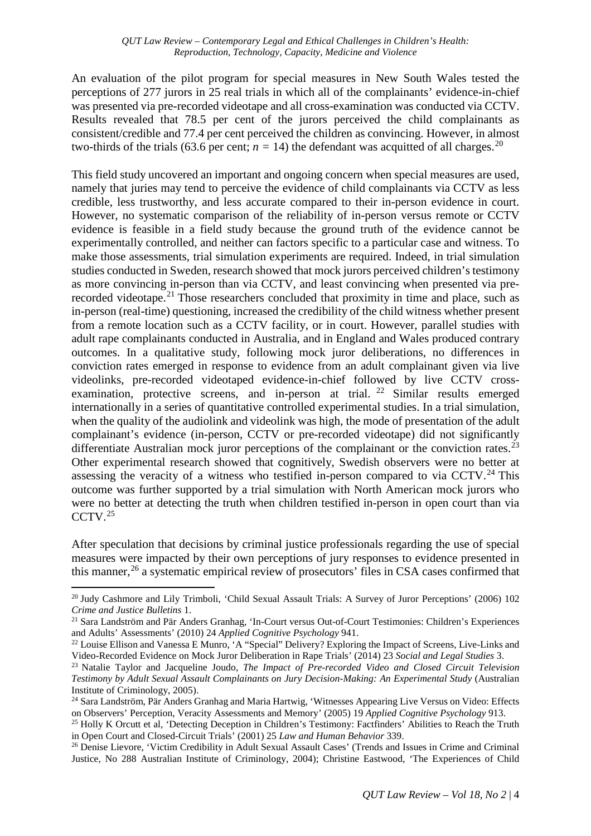An evaluation of the pilot program for special measures in New South Wales tested the perceptions of 277 jurors in 25 real trials in which all of the complainants' evidence-in-chief was presented via pre-recorded videotape and all cross-examination was conducted via CCTV. Results revealed that 78.5 per cent of the jurors perceived the child complainants as consistent/credible and 77.4 per cent perceived the children as convincing. However, in almost two-thirds of the trials (63.6 per cent;  $n = 14$ ) the defendant was acquitted of all charges.<sup>[20](#page-3-0)</sup>

This field study uncovered an important and ongoing concern when special measures are used, namely that juries may tend to perceive the evidence of child complainants via CCTV as less credible, less trustworthy, and less accurate compared to their in-person evidence in court. However, no systematic comparison of the reliability of in-person versus remote or CCTV evidence is feasible in a field study because the ground truth of the evidence cannot be experimentally controlled, and neither can factors specific to a particular case and witness. To make those assessments, trial simulation experiments are required. Indeed, in trial simulation studies conducted in Sweden, research showed that mock jurors perceived children's testimony as more convincing in-person than via CCTV, and least convincing when presented via pre-recorded videotape.<sup>[21](#page-3-1)</sup> Those researchers concluded that proximity in time and place, such as in-person (real-time) questioning, increased the credibility of the child witness whether present from a remote location such as a CCTV facility, or in court. However, parallel studies with adult rape complainants conducted in Australia, and in England and Wales produced contrary outcomes. In a qualitative study, following mock juror deliberations, no differences in conviction rates emerged in response to evidence from an adult complainant given via live videolinks, pre-recorded videotaped evidence-in-chief followed by live CCTV cross-examination, protective screens, and in-person at trial. <sup>[22](#page-3-2)</sup> Similar results emerged internationally in a series of quantitative controlled experimental studies. In a trial simulation, when the quality of the audiolink and videolink was high, the mode of presentation of the adult complainant's evidence (in-person, CCTV or pre-recorded videotape) did not significantly differentiate Australian mock juror perceptions of the complainant or the conviction rates.<sup>[23](#page-3-3)</sup> Other experimental research showed that cognitively, Swedish observers were no better at assessing the veracity of a witness who testified in-person compared to via CCTV.<sup>[24](#page-3-4)</sup> This outcome was further supported by a trial simulation with North American mock jurors who were no better at detecting the truth when children testified in-person in open court than via CCTV.<sup>[25](#page-3-5)</sup>

After speculation that decisions by criminal justice professionals regarding the use of special measures were impacted by their own perceptions of jury responses to evidence presented in this manner, [26](#page-3-6) a systematic empirical review of prosecutors' files in CSA cases confirmed that

<span id="page-3-0"></span><sup>&</sup>lt;sup>20</sup> Judy Cashmore and Lily Trimboli, 'Child Sexual Assault Trials: A Survey of Juror Perceptions' (2006) 102 *Crime and Justice Bulletins* 1.

<span id="page-3-1"></span><sup>21</sup> Sara Landström and Pär Anders Granhag, 'In-Court versus Out-of-Court Testimonies: Children's Experiences and Adults' Assessments' (2010) 24 *Applied Cognitive Psychology* 941.

<span id="page-3-2"></span><sup>&</sup>lt;sup>22</sup> Louise Ellison and Vanessa E Munro, 'A "Special" Delivery? Exploring the Impact of Screens, Live-Links and Video-Recorded Evidence on Mock Juror Deliberation in Rape Trials' (2014) 23 *Social and Legal Studies* 3.

<span id="page-3-3"></span><sup>23</sup> Natalie Taylor and Jacqueline Joudo, *The Impact of Pre-recorded Video and Closed Circuit Television Testimony by Adult Sexual Assault Complainants on Jury Decision-Making: An Experimental Study* (Australian Institute of Criminology, 2005).

<span id="page-3-4"></span><sup>&</sup>lt;sup>24</sup> Sara Landström, Pär Anders Granhag and Maria Hartwig, 'Witnesses Appearing Live Versus on Video: Effects on Observers' Perception, Veracity Assessments and Memory' (2005) 19 *Applied Cognitive Psychology* 913.

<span id="page-3-5"></span><sup>&</sup>lt;sup>25</sup> Holly K Orcutt et al, 'Detecting Deception in Children's Testimony: Factfinders' Abilities to Reach the Truth in Open Court and Closed-Circuit Trials' (2001) 25 *Law and Human Behavior* 339.

<span id="page-3-6"></span><sup>&</sup>lt;sup>26</sup> Denise Lievore, 'Victim Credibility in Adult Sexual Assault Cases' (Trends and Issues in Crime and Criminal Justice, No 288 Australian Institute of Criminology, 2004); Christine Eastwood, 'The Experiences of Child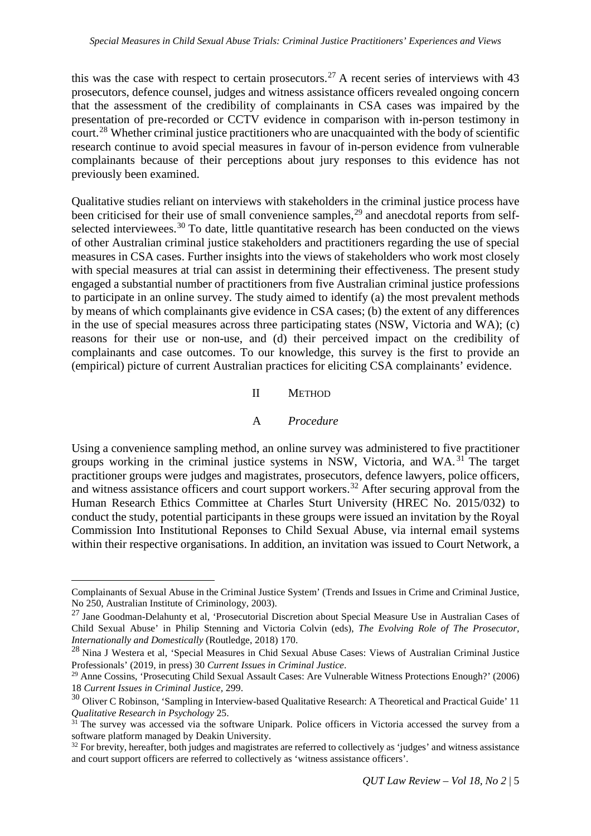this was the case with respect to certain prosecutors.<sup>[27](#page-4-0)</sup> A recent series of interviews with  $43$ prosecutors, defence counsel, judges and witness assistance officers revealed ongoing concern that the assessment of the credibility of complainants in CSA cases was impaired by the presentation of pre-recorded or CCTV evidence in comparison with in-person testimony in court.[28](#page-4-1) Whether criminal justice practitioners who are unacquainted with the body of scientific research continue to avoid special measures in favour of in-person evidence from vulnerable complainants because of their perceptions about jury responses to this evidence has not previously been examined.

Qualitative studies reliant on interviews with stakeholders in the criminal justice process have been criticised for their use of small convenience samples,<sup>[29](#page-4-2)</sup> and anecdotal reports from self-selected interviewees.<sup>[30](#page-4-3)</sup> To date, little quantitative research has been conducted on the views of other Australian criminal justice stakeholders and practitioners regarding the use of special measures in CSA cases. Further insights into the views of stakeholders who work most closely with special measures at trial can assist in determining their effectiveness. The present study engaged a substantial number of practitioners from five Australian criminal justice professions to participate in an online survey. The study aimed to identify (a) the most prevalent methods by means of which complainants give evidence in CSA cases; (b) the extent of any differences in the use of special measures across three participating states (NSW, Victoria and WA); (c) reasons for their use or non-use, and (d) their perceived impact on the credibility of complainants and case outcomes. To our knowledge, this survey is the first to provide an (empirical) picture of current Australian practices for eliciting CSA complainants' evidence.

II METHOD

#### A *Procedure*

Using a convenience sampling method, an online survey was administered to five practitioner groups working in the criminal justice systems in NSW, Victoria, and WA. [31](#page-4-4) The target practitioner groups were judges and magistrates, prosecutors, defence lawyers, police officers, and witness assistance officers and court support workers.<sup>[32](#page-4-5)</sup> After securing approval from the Human Research Ethics Committee at Charles Sturt University (HREC No. 2015/032) to conduct the study, potential participants in these groups were issued an invitation by the Royal Commission Into Institutional Reponses to Child Sexual Abuse, via internal email systems within their respective organisations. In addition, an invitation was issued to Court Network, a

Complainants of Sexual Abuse in the Criminal Justice System' (Trends and Issues in Crime and Criminal Justice, No 250, Australian Institute of Criminology, 2003).

<span id="page-4-0"></span><sup>&</sup>lt;sup>27</sup> Jane Goodman-Delahunty et al, 'Prosecutorial Discretion about Special Measure Use in Australian Cases of Child Sexual Abuse' in Philip Stenning and Victoria Colvin (eds), *The Evolving Role of The Prosecutor, Internationally and Domestically* (Routledge, 2018) 170.

<span id="page-4-1"></span><sup>28</sup> Nina J Westera et al, 'Special Measures in Chid Sexual Abuse Cases: Views of Australian Criminal Justice Professionals' (2019, in press) 30 *Current Issues in Criminal Justice*.

<span id="page-4-2"></span><sup>29</sup> Anne Cossins, 'Prosecuting Child Sexual Assault Cases: Are Vulnerable Witness Protections Enough?' (2006) 18 *Current Issues in Criminal Justice,* 299.

<span id="page-4-3"></span><sup>&</sup>lt;sup>30</sup> Oliver C Robinson, 'Sampling in Interview-based Qualitative Research: A Theoretical and Practical Guide' 11 *Qualitative Research in Psychology* 25.

<span id="page-4-4"></span> $31$  The survey was accessed via the software Unipark. Police officers in Victoria accessed the survey from a software platform managed by Deakin University.

<span id="page-4-5"></span> $32$  For brevity, hereafter, both judges and magistrates are referred to collectively as 'judges' and witness assistance and court support officers are referred to collectively as 'witness assistance officers'.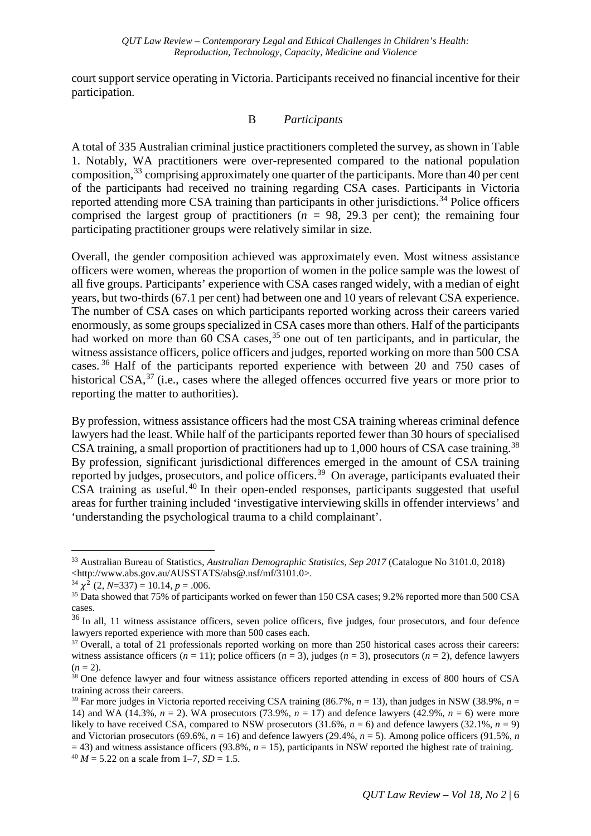court support service operating in Victoria. Participants received no financial incentive for their participation.

#### B *Participants*

A total of 335 Australian criminal justice practitioners completed the survey, as shown in Table 1. Notably, WA practitioners were over-represented compared to the national population composition,  $33$  comprising approximately one quarter of the participants. More than 40 per cent of the participants had received no training regarding CSA cases. Participants in Victoria reported attending more CSA training than participants in other jurisdictions.<sup>[34](#page-5-1)</sup> Police officers comprised the largest group of practitioners ( $n = 98$ , 29.3 per cent); the remaining four participating practitioner groups were relatively similar in size.

Overall, the gender composition achieved was approximately even. Most witness assistance officers were women, whereas the proportion of women in the police sample was the lowest of all five groups. Participants' experience with CSA cases ranged widely, with a median of eight years, but two-thirds (67.1 per cent) had between one and 10 years of relevant CSA experience. The number of CSA cases on which participants reported working across their careers varied enormously, as some groups specialized in CSA cases more than others. Half of the participants had worked on more than 60 CSA cases,<sup>[35](#page-5-2)</sup> one out of ten participants, and in particular, the witness assistance officers, police officers and judges, reported working on more than 500 CSA cases. [36](#page-5-3) Half of the participants reported experience with between 20 and 750 cases of historical CSA, $37$  (i.e., cases where the alleged offences occurred five years or more prior to reporting the matter to authorities).

By profession, witness assistance officers had the most CSA training whereas criminal defence lawyers had the least. While half of the participants reported fewer than 30 hours of specialised CSA training, a small proportion of practitioners had up to  $1,000$  hours of CSA case training.<sup>[38](#page-5-5)</sup> By profession, significant jurisdictional differences emerged in the amount of CSA training reported by judges, prosecutors, and police officers.<sup>[39](#page-5-6)</sup> On average, participants evaluated their CSA training as useful.<sup>[40](#page-5-7)</sup> In their open-ended responses, participants suggested that useful areas for further training included 'investigative interviewing skills in offender interviews' and 'understanding the psychological trauma to a child complainant'.

<span id="page-5-0"></span> <sup>33</sup> Australian Bureau of Statistics, *Australian Demographic Statistics, Sep 2017* (Catalogue No 3101.0, 2018)  $\langle$ http://www.abs.gov.au/AUSSTATS/abs@.nsf/mf/3101.0>.<br><sup>34</sup>  $\chi^2$  (2, N=337) = 10.14, p = .006.

<span id="page-5-1"></span>

<span id="page-5-2"></span><sup>&</sup>lt;sup>35</sup> Data showed that 75% of participants worked on fewer than 150 CSA cases; 9.2% reported more than 500 CSA cases.

<span id="page-5-3"></span><sup>&</sup>lt;sup>36</sup> In all, 11 witness assistance officers, seven police officers, five judges, four prosecutors, and four defence lawyers reported experience with more than 500 cases each.

<span id="page-5-4"></span><sup>&</sup>lt;sup>37</sup> Overall, a total of 21 professionals reported working on more than 250 historical cases across their careers: witness assistance officers  $(n = 11)$ ; police officers  $(n = 3)$ , judges  $(n = 3)$ , prosecutors  $(n = 2)$ , defence lawyers  $(n = 2)$ .<br><sup>38</sup> One defence lawyer and four witness assistance officers reported attending in excess of 800 hours of CSA

<span id="page-5-5"></span>training across their careers.

<span id="page-5-7"></span><span id="page-5-6"></span><sup>&</sup>lt;sup>39</sup> Far more judges in Victoria reported receiving CSA training  $(86.7\%, n = 13)$ , than judges in NSW  $(38.9\%, n = 13)$ 14) and WA (14.3%, *n* = 2). WA prosecutors (73.9%, *n* = 17) and defence lawyers (42.9%, *n* = 6) were more likely to have received CSA, compared to NSW prosecutors  $(31.6%, n = 6)$  and defence lawyers  $(32.1%, n = 9)$ and Victorian prosecutors (69.6%,  $n = 16$ ) and defence lawyers (29.4%,  $n = 5$ ). Among police officers (91.5%, *n* = 43) and witness assistance officers (93.8%, *n* = 15), participants in NSW reported the highest rate of training.  $^{40}$  *M* = 5.22 on a scale from 1–7, *SD* = 1.5.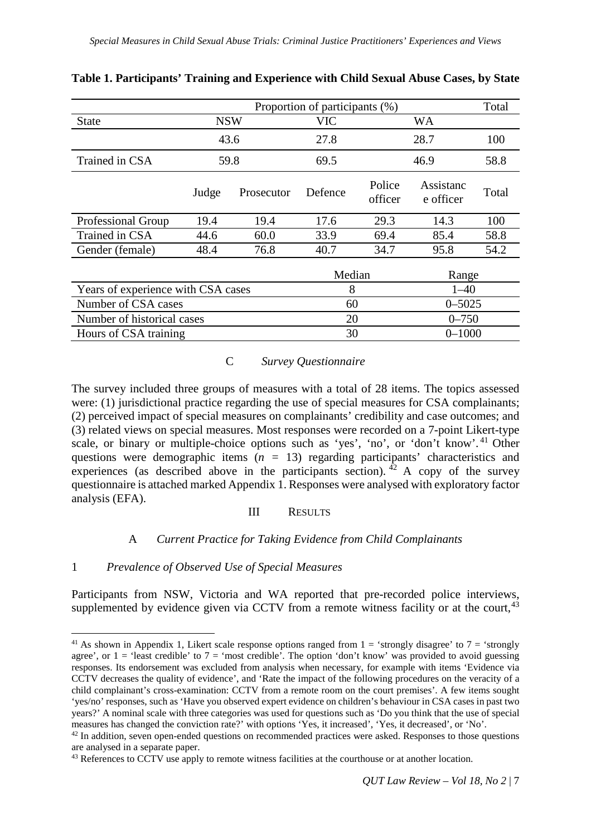|                                    | Proportion of participants (%) |            |            |                   |                        |       |  |
|------------------------------------|--------------------------------|------------|------------|-------------------|------------------------|-------|--|
| <b>State</b>                       | <b>NSW</b>                     |            | <b>VIC</b> |                   | WA                     |       |  |
|                                    | 43.6                           |            | 27.8       | 28.7              |                        | 100   |  |
| Trained in CSA                     | 59.8                           |            | 69.5       | 46.9              |                        | 58.8  |  |
|                                    | Judge                          | Prosecutor | Defence    | Police<br>officer | Assistanc<br>e officer | Total |  |
| <b>Professional Group</b>          | 19.4                           | 19.4       | 17.6       | 29.3              | 14.3                   | 100   |  |
| Trained in CSA                     | 44.6                           | 60.0       | 33.9       | 69.4              | 85.4                   | 58.8  |  |
| Gender (female)                    | 48.4                           | 76.8       | 40.7       | 34.7              | 95.8                   | 54.2  |  |
|                                    |                                |            | Median     |                   | Range                  |       |  |
| Years of experience with CSA cases |                                |            | 8          |                   | $1 - 40$               |       |  |
| Number of CSA cases                |                                |            | 60         |                   | $0 - 5025$             |       |  |
| Number of historical cases         |                                |            | 20         |                   | $0 - 750$              |       |  |
| Hours of CSA training              |                                |            | 30         |                   | $0 - 1000$             |       |  |

**Table 1. Participants' Training and Experience with Child Sexual Abuse Cases, by State**

## C *Survey Questionnaire*

The survey included three groups of measures with a total of 28 items. The topics assessed were: (1) jurisdictional practice regarding the use of special measures for CSA complainants; (2) perceived impact of special measures on complainants' credibility and case outcomes; and (3) related views on special measures. Most responses were recorded on a 7-point Likert-type scale, or binary or multiple-choice options such as 'yes', 'no', or 'don't know'.<sup>[41](#page-6-0)</sup> Other questions were demographic items (*n =* 13) regarding participants' characteristics and experiences (as described above in the participants section). <sup>[42](#page-6-1)</sup> A copy of the survey questionnaire is attached marked Appendix 1. Responses were analysed with exploratory factor analysis (EFA).

## III RESULTS

## A *Current Practice for Taking Evidence from Child Complainants*

## 1 *Prevalence of Observed Use of Special Measures*

Participants from NSW, Victoria and WA reported that pre-recorded police interviews, supplemented by evidence given via CCTV from a remote witness facility or at the court,  $43$ 

<span id="page-6-0"></span><sup>&</sup>lt;sup>41</sup> As shown in Appendix 1, Likert scale response options ranged from  $1 =$  'strongly disagree' to  $7 =$  'strongly agree', or  $1 =$  'least credible' to  $7 =$  'most credible'. The option 'don't know' was provided to avoid guessing responses. Its endorsement was excluded from analysis when necessary, for example with items 'Evidence via CCTV decreases the quality of evidence', and 'Rate the impact of the following procedures on the veracity of a child complainant's cross-examination: CCTV from a remote room on the court premises'. A few items sought 'yes/no' responses, such as 'Have you observed expert evidence on children's behaviour in CSA cases in past two years?' A nominal scale with three categories was used for questions such as 'Do you think that the use of special measures has changed the conviction rate?' with options 'Yes, it increased', 'Yes, it decreased', or 'No'.

<span id="page-6-1"></span> $42$  In addition, seven open-ended questions on recommended practices were asked. Responses to those questions are analysed in a separate paper.

<span id="page-6-2"></span><sup>&</sup>lt;sup>43</sup> References to CCTV use apply to remote witness facilities at the courthouse or at another location.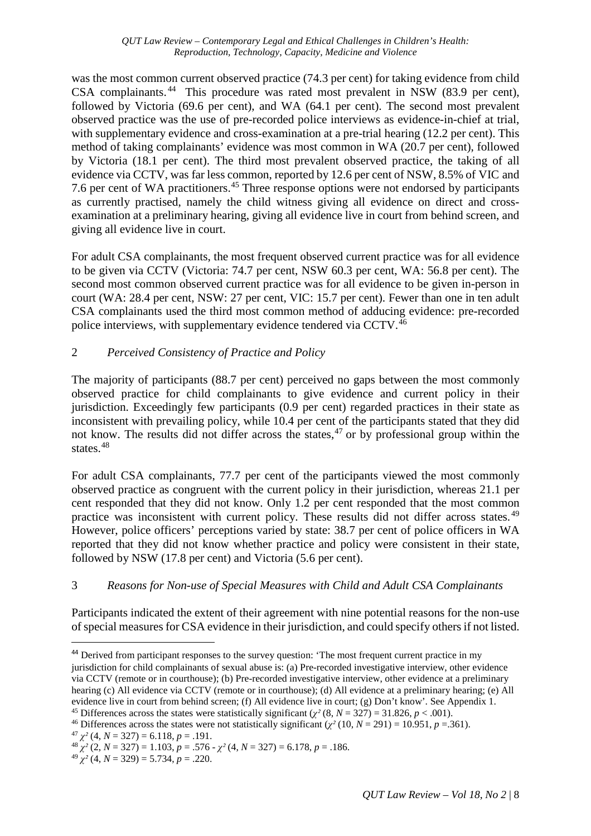was the most common current observed practice (74.3 per cent) for taking evidence from child CSA complainants. [44](#page-7-0) This procedure was rated most prevalent in NSW (83.9 per cent), followed by Victoria (69.6 per cent), and WA (64.1 per cent). The second most prevalent observed practice was the use of pre-recorded police interviews as evidence-in-chief at trial, with supplementary evidence and cross-examination at a pre-trial hearing (12.2 per cent). This method of taking complainants' evidence was most common in WA (20.7 per cent), followed by Victoria (18.1 per cent). The third most prevalent observed practice, the taking of all evidence via CCTV, was far less common, reported by 12.6 per cent of NSW, 8.5% of VIC and 7.6 per cent of WA practitioners. [45](#page-7-1) Three response options were not endorsed by participants as currently practised, namely the child witness giving all evidence on direct and crossexamination at a preliminary hearing, giving all evidence live in court from behind screen, and giving all evidence live in court.

For adult CSA complainants, the most frequent observed current practice was for all evidence to be given via CCTV (Victoria: 74.7 per cent, NSW 60.3 per cent, WA: 56.8 per cent). The second most common observed current practice was for all evidence to be given in-person in court (WA: 28.4 per cent, NSW: 27 per cent, VIC: 15.7 per cent). Fewer than one in ten adult CSA complainants used the third most common method of adducing evidence: pre-recorded police interviews, with supplementary evidence tendered via CCTV.[46](#page-7-2)

## 2 *Perceived Consistency of Practice and Policy*

The majority of participants (88.7 per cent) perceived no gaps between the most commonly observed practice for child complainants to give evidence and current policy in their jurisdiction. Exceedingly few participants (0.9 per cent) regarded practices in their state as inconsistent with prevailing policy, while 10.4 per cent of the participants stated that they did not know. The results did not differ across the states, [47](#page-7-3) or by professional group within the states.<sup>[48](#page-7-4)</sup>

For adult CSA complainants, 77.7 per cent of the participants viewed the most commonly observed practice as congruent with the current policy in their jurisdiction, whereas 21.1 per cent responded that they did not know. Only 1.2 per cent responded that the most common practice was inconsistent with current policy. These results did not differ across states. [49](#page-7-5) However, police officers' perceptions varied by state: 38.7 per cent of police officers in WA reported that they did not know whether practice and policy were consistent in their state, followed by NSW (17.8 per cent) and Victoria (5.6 per cent).

# 3 *Reasons for Non-use of Special Measures with Child and Adult CSA Complainants*

Participants indicated the extent of their agreement with nine potential reasons for the non-use of special measures for CSA evidence in their jurisdiction, and could specify others if not listed.

 $\overline{a}$ 

```
^{49} \chi^2 (4, N = 329) = 5.734, p = .220.
```
<span id="page-7-0"></span><sup>&</sup>lt;sup>44</sup> Derived from participant responses to the survey question: 'The most frequent current practice in my jurisdiction for child complainants of sexual abuse is: (a) Pre-recorded investigative interview, other evidence via CCTV (remote or in courthouse); (b) Pre-recorded investigative interview, other evidence at a preliminary hearing (c) All evidence via CCTV (remote or in courthouse); (d) All evidence at a preliminary hearing; (e) All evidence live in court from behind screen; (f) All evidence live in court; (g) Don't know'. See Appendix 1.<br><sup>45</sup> Differences across the states were statistically significant ( $\chi^2$  (8,  $N = 327$ ) = 31.826,  $p < .001$ ).<br><sup>46</sup>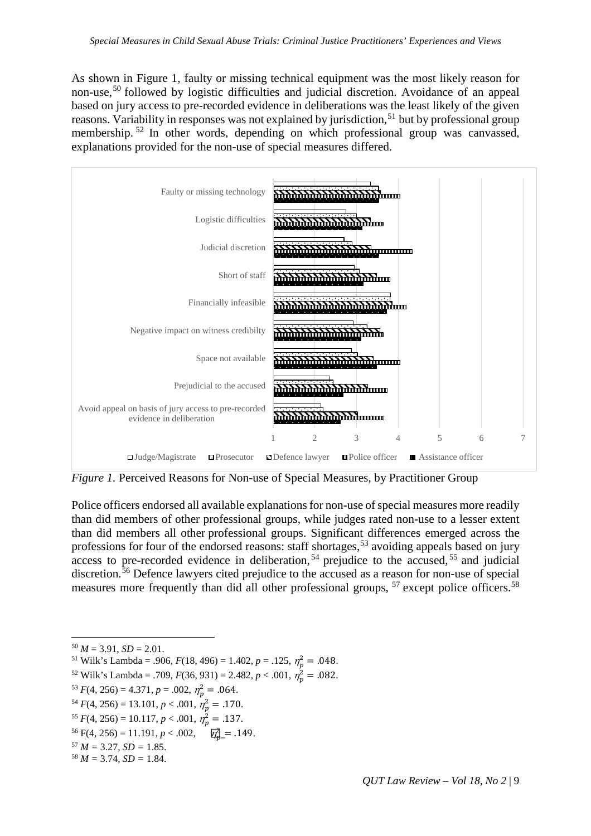As shown in Figure 1, faulty or missing technical equipment was the most likely reason for non-use,<sup>[50](#page-8-0)</sup> followed by logistic difficulties and judicial discretion. Avoidance of an appeal based on jury access to pre-recorded evidence in deliberations was the least likely of the given reasons. Variability in responses was not explained by jurisdiction,<sup>[51](#page-8-1)</sup> but by professional group membership.<sup>[52](#page-8-2)</sup> In other words, depending on which professional group was canvassed, explanations provided for the non-use of special measures differed.



*Figure 1.* Perceived Reasons for Non-use of Special Measures, by Practitioner Group

Police officers endorsed all available explanations for non-use of special measures more readily than did members of other professional groups, while judges rated non-use to a lesser extent than did members all other professional groups. Significant differences emerged across the professions for four of the endorsed reasons: staff shortages,<sup>[53](#page-8-3)</sup> avoiding appeals based on jury access to pre-recorded evidence in deliberation,  $54$  prejudice to the accused,  $55$  and judicial discretion.<sup>[56](#page-8-6)</sup> Defence lawyers cited prejudice to the accused as a reason for non-use of special measures more frequently than did all other professional groups, <sup>[57](#page-8-7)</sup> except police officers.<sup>[58](#page-8-8)</sup>

- <span id="page-8-2"></span> $52$  Wilk's Lambda = .709,  $F(36, 931) = 2.482, p < .001, \eta_p^2 = .082.$
- <span id="page-8-3"></span> $5^3 F(4, 256) = 4.371, p = .002, \eta_p^2 = .064.$
- <span id="page-8-4"></span> $5^4$  *F*(4, 256) = 13.101, *p* < .001,  $\eta_p^2$  = .170.
- <span id="page-8-5"></span> $55 F(4, 256) = 10.117, p < .001, \eta_p^2 = .137.$
- $56 \text{ F}(4, 256) = 11.191, p < .002, \quad \boxed{p_p^2} = .149.$
- <span id="page-8-7"></span><span id="page-8-6"></span> $57 M = 3.27$ ,  $SD = 1.85$ .
- <span id="page-8-8"></span> $58 M = 3.74$ ,  $SD = 1.84$ .

<span id="page-8-1"></span><span id="page-8-0"></span> $50 M = 3.91$ ,  $SD = 2.01$ .

<sup>&</sup>lt;sup>51</sup> Wilk's Lambda = .906,  $F(18, 496) = 1.402$ ,  $p = .125$ ,  $\eta_p^2 = .048$ .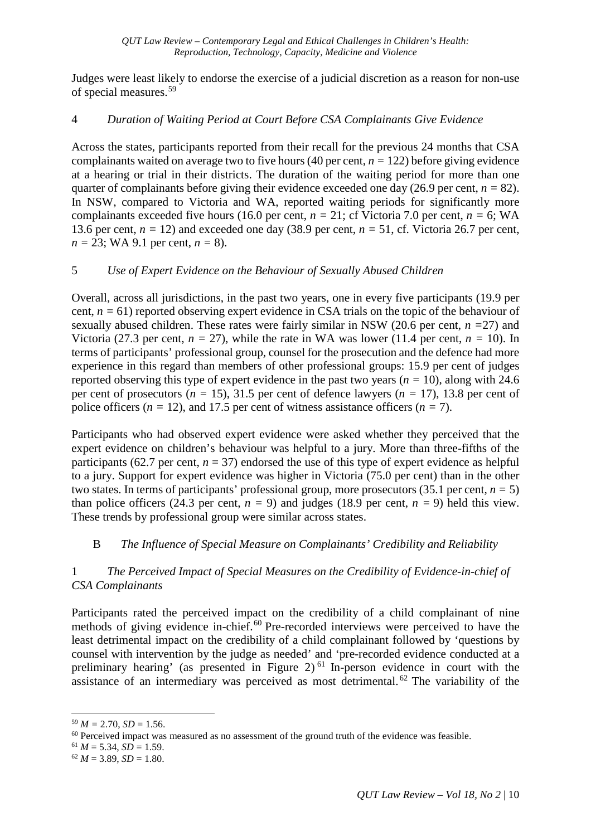Judges were least likely to endorse the exercise of a judicial discretion as a reason for non-use of special measures. [59](#page-9-0) 

## 4 *Duration of Waiting Period at Court Before CSA Complainants Give Evidence*

Across the states, participants reported from their recall for the previous 24 months that CSA complainants waited on average two to five hours (40 per cent,  $n = 122$ ) before giving evidence at a hearing or trial in their districts. The duration of the waiting period for more than one quarter of complainants before giving their evidence exceeded one day (26.9 per cent,  $n = 82$ ). In NSW, compared to Victoria and WA, reported waiting periods for significantly more complainants exceeded five hours (16.0 per cent,  $n = 21$ ; cf Victoria 7.0 per cent,  $n = 6$ ; WA 13.6 per cent, *n =* 12) and exceeded one day (38.9 per cent, *n =* 51, cf. Victoria 26.7 per cent, *n =* 23; WA 9.1 per cent, *n =* 8).

## 5 *Use of Expert Evidence on the Behaviour of Sexually Abused Children*

Overall, across all jurisdictions, in the past two years, one in every five participants (19.9 per cent, *n =* 61) reported observing expert evidence in CSA trials on the topic of the behaviour of sexually abused children. These rates were fairly similar in NSW (20.6 per cent, *n =*27) and Victoria (27.3 per cent,  $n = 27$ ), while the rate in WA was lower (11.4 per cent,  $n = 10$ ). In terms of participants' professional group, counsel for the prosecution and the defence had more experience in this regard than members of other professional groups: 15.9 per cent of judges reported observing this type of expert evidence in the past two years (*n =* 10), along with 24.6 per cent of prosecutors (*n =* 15), 31.5 per cent of defence lawyers (*n =* 17), 13.8 per cent of police officers ( $n = 12$ ), and 17.5 per cent of witness assistance officers ( $n = 7$ ).

Participants who had observed expert evidence were asked whether they perceived that the expert evidence on children's behaviour was helpful to a jury. More than three-fifths of the participants (62.7 per cent,  $n = 37$ ) endorsed the use of this type of expert evidence as helpful to a jury. Support for expert evidence was higher in Victoria (75.0 per cent) than in the other two states. In terms of participants' professional group, more prosecutors (35.1 per cent*, n =* 5) than police officers (24.3 per cent,  $n = 9$ ) and judges (18.9 per cent,  $n = 9$ ) held this view. These trends by professional group were similar across states.

# B *The Influence of Special Measure on Complainants' Credibility and Reliability*

## 1 *The Perceived Impact of Special Measures on the Credibility of Evidence-in-chief of CSA Complainants*

Participants rated the perceived impact on the credibility of a child complainant of nine methods of giving evidence in-chief.<sup>[60](#page-9-1)</sup> Pre-recorded interviews were perceived to have the least detrimental impact on the credibility of a child complainant followed by 'questions by counsel with intervention by the judge as needed' and 'pre-recorded evidence conducted at a preliminary hearing' (as presented in Figure 2)<sup> $61$ </sup> In-person evidence in court with the assistance of an intermediary was perceived as most detrimental.<sup>[62](#page-9-3)</sup> The variability of the

<span id="page-9-0"></span> $59 M = 2.70$ ,  $SD = 1.56$ .

<span id="page-9-1"></span><sup>&</sup>lt;sup>60</sup> Perceived impact was measured as no assessment of the ground truth of the evidence was feasible. <sup>61</sup>  $M = 5.34$ ,  $SD = 1.59$ .

<span id="page-9-3"></span><span id="page-9-2"></span> $62 M = 3.89$ ,  $SD = 1.80$ .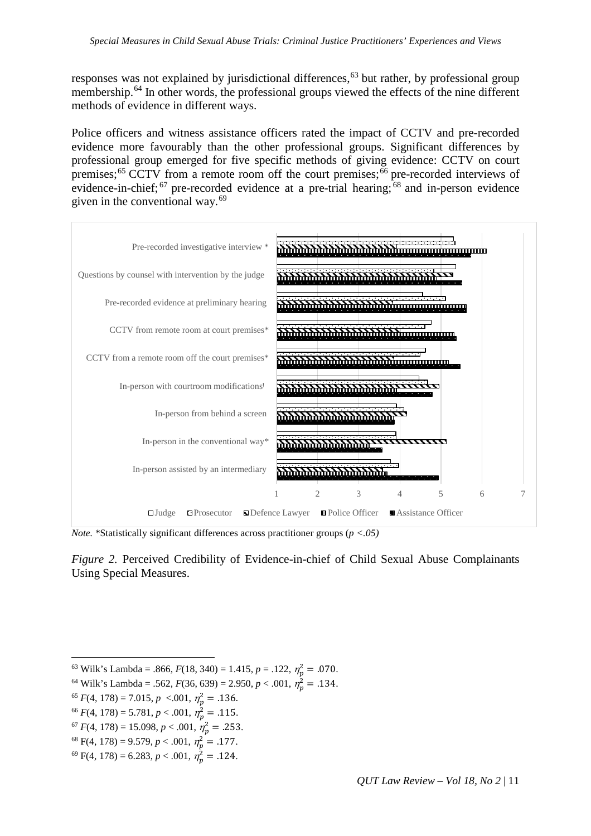responses was not explained by jurisdictional differences,<sup>[63](#page-10-0)</sup> but rather, by professional group membership.<sup>[64](#page-10-1)</sup> In other words, the professional groups viewed the effects of the nine different methods of evidence in different ways.

Police officers and witness assistance officers rated the impact of CCTV and pre-recorded evidence more favourably than the other professional groups. Significant differences by professional group emerged for five specific methods of giving evidence: CCTV on court premises;<sup>[65](#page-10-2)</sup> CCTV from a remote room off the court premises;<sup>[66](#page-10-3)</sup> pre-recorded interviews of evidence-in-chief;  $67$  pre-recorded evidence at a pre-trial hearing;  $68$  and in-person evidence given in the conventional way.[69](#page-10-6)



*Note.* \*Statistically significant differences across practitioner groups (*p <.05)*

*Figure 2.* Perceived Credibility of Evidence-in-chief of Child Sexual Abuse Complainants Using Special Measures.

- <span id="page-10-1"></span><span id="page-10-0"></span><sup>64</sup> Wilk's Lambda = .562,  $F(36, 639) = 2.950, p < .001, \eta_p^2 = .134$ .
- <span id="page-10-2"></span> $^{65}F(4, 178) = 7.015, p \sim 0.001, \eta_p^2 = .136.$
- <span id="page-10-3"></span> $^{66}F(4, 178) = 5.781, p < .001, \eta_p^2 = .115.$
- <span id="page-10-4"></span> $^{67}F(4, 178) = 15.098, p < .001, \eta_p^2 = .253.$
- <span id="page-10-5"></span> $68 \text{ F}(4, 178) = 9.579, p < .001, \eta_p^2 = .177.$
- <span id="page-10-6"></span> $^{69}$  F(4, 178) = 6.283, *p* < .001,  $\eta_p^2$  = .124.

<sup>&</sup>lt;sup>63</sup> Wilk's Lambda = .866,  $F(18, 340) = 1.415$ ,  $p = .122$ ,  $\eta_p^2 = .070$ .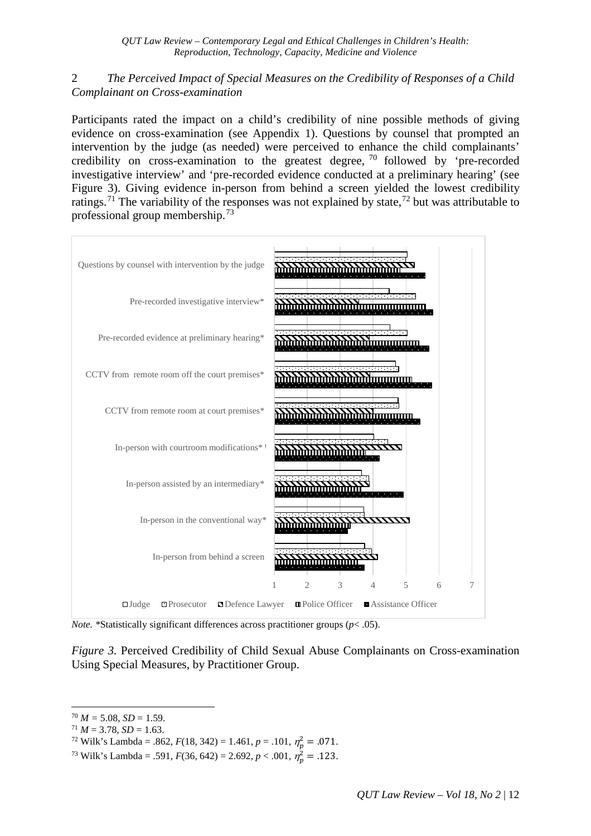## 2 *The Perceived Impact of Special Measures on the Credibility of Responses of a Child Complainant on Cross-examination*

Participants rated the impact on a child's credibility of nine possible methods of giving evidence on cross-examination (see Appendix 1). Questions by counsel that prompted an intervention by the judge (as needed) were perceived to enhance the child complainants' credibility on cross-examination to the greatest degree, [70](#page-11-0) followed by 'pre-recorded investigative interview' and 'pre-recorded evidence conducted at a preliminary hearing' (see Figure 3). Giving evidence in-person from behind a screen yielded the lowest credibility ratings.<sup>[71](#page-11-1)</sup> The variability of the responses was not explained by state,<sup>[72](#page-11-2)</sup> but was attributable to professional group membership. [73](#page-11-3) 



*Note. \**Statistically significant differences across practitioner groups (*p*< .05).

*Figure 3.* Perceived Credibility of Child Sexual Abuse Complainants on Cross-examination Using Special Measures, by Practitioner Group.

- <sup>72</sup> Wilk's Lambda = .862,  $F(18, 342) = 1.461$ ,  $p = .101$ ,  $\eta_p^2 = .071$ .
- <span id="page-11-3"></span><span id="page-11-2"></span><sup>73</sup> Wilk's Lambda = .591,  $F(36, 642) = 2.692, p < .001, \eta_p^2 = .123$ .

<span id="page-11-0"></span> $70 M = 5.08$ ,  $SD = 1.59$ .

<span id="page-11-1"></span> $71 M = 3.78$ ,  $SD = 1.63$ .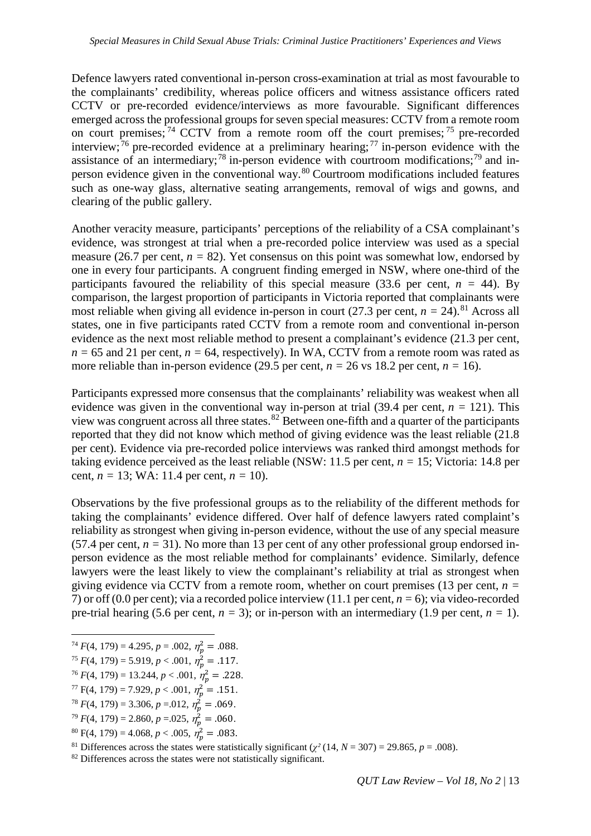Defence lawyers rated conventional in-person cross-examination at trial as most favourable to the complainants' credibility, whereas police officers and witness assistance officers rated CCTV or pre-recorded evidence/interviews as more favourable. Significant differences emerged across the professional groups for seven special measures: CCTV from a remote room on court premises; <sup>[74](#page-12-0)</sup> CCTV from a remote room off the court premises; <sup>[75](#page-12-1)</sup> pre-recorded interview;<sup>[76](#page-12-2)</sup> pre-recorded evidence at a preliminary hearing;<sup>[77](#page-12-3)</sup> in-person evidence with the assistance of an intermediary;<sup>[78](#page-12-4)</sup> in-person evidence with courtroom modifications;<sup>[79](#page-12-5)</sup> and inperson evidence given in the conventional way. $80$  Courtroom modifications included features such as one-way glass, alternative seating arrangements, removal of wigs and gowns, and clearing of the public gallery.

Another veracity measure, participants' perceptions of the reliability of a CSA complainant's evidence, was strongest at trial when a pre-recorded police interview was used as a special measure (26.7 per cent,  $n = 82$ ). Yet consensus on this point was somewhat low, endorsed by one in every four participants. A congruent finding emerged in NSW, where one-third of the participants favoured the reliability of this special measure (33.6 per cent,  $n = 44$ ). By comparison, the largest proportion of participants in Victoria reported that complainants were most reliable when giving all evidence in-person in court (27.3 per cent,  $n = 24$ ).<sup>[81](#page-12-7)</sup> Across all states, one in five participants rated CCTV from a remote room and conventional in-person evidence as the next most reliable method to present a complainant's evidence (21.3 per cent,  $n = 65$  and 21 per cent,  $n = 64$ , respectively). In WA, CCTV from a remote room was rated as more reliable than in-person evidence (29.5 per cent,  $n = 26$  vs 18.2 per cent,  $n = 16$ ).

Participants expressed more consensus that the complainants' reliability was weakest when all evidence was given in the conventional way in-person at trial (39.4 per cent,  $n = 121$ ). This view was congruent across all three states.[82](#page-12-8) Between one-fifth and a quarter of the participants reported that they did not know which method of giving evidence was the least reliable (21.8 per cent). Evidence via pre-recorded police interviews was ranked third amongst methods for taking evidence perceived as the least reliable (NSW: 11.5 per cent, *n =* 15; Victoria: 14.8 per cent, *n =* 13; WA: 11.4 per cent, *n =* 10).

Observations by the five professional groups as to the reliability of the different methods for taking the complainants' evidence differed. Over half of defence lawyers rated complaint's reliability as strongest when giving in-person evidence, without the use of any special measure (57.4 per cent,  $n = 31$ ). No more than 13 per cent of any other professional group endorsed inperson evidence as the most reliable method for complainants' evidence. Similarly, defence lawyers were the least likely to view the complainant's reliability at trial as strongest when giving evidence via CCTV from a remote room, whether on court premises (13 per cent, *n =* 7) or off (0.0 per cent); via a recorded police interview (11.1 per cent, *n =* 6); via video-recorded pre-trial hearing (5.6 per cent,  $n = 3$ ); or in-person with an intermediary (1.9 per cent,  $n = 1$ ).

- <span id="page-12-1"></span><sup>75</sup>  $F(4, 179) = 5.919, p < .001, \eta_p^2 = .117.$
- <span id="page-12-2"></span> $7^{\circ}F(4, 179) = 13.244, p < .001, \eta_p^2 = .228.$
- <span id="page-12-3"></span> $77 \text{ F}(4, 179) = 7.929, p < .001, \eta_p^2 = .151.$
- <span id="page-12-4"></span> $7^8 F(4, 179) = 3.306, p = .012, \eta_p^2 = .069.$
- <span id="page-12-5"></span> $T^9 F(4, 179) = 2.860, p = 0.025, \eta_p^2 = .060.$
- <span id="page-12-6"></span> $^{80}$  F(4, 179) = 4.068, *p* < .005,  $\eta_p^2$  = .083.

<span id="page-12-7"></span><sup>81</sup> Differences across the states were statistically significant ( $\chi^2$  (14, *N* = 307) = 29.865, *p* = .008). <sup>82</sup> Differences across the states were not statistically significant.

<span id="page-12-0"></span> $\frac{1}{74}F(4, 179) = 4.295, p = .002, \eta_p^2 = .088.$ 

<span id="page-12-8"></span>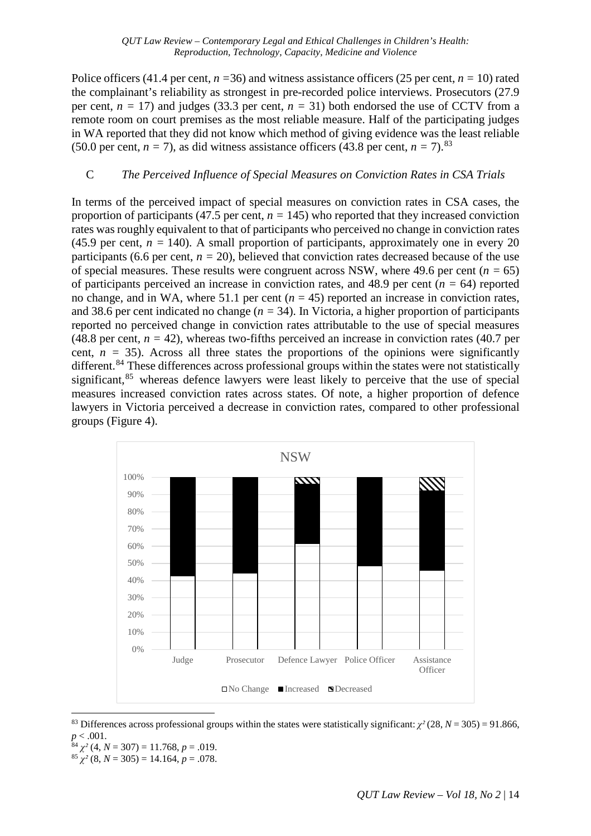Police officers (41.4 per cent,  $n = 36$ ) and witness assistance officers (25 per cent,  $n = 10$ ) rated the complainant's reliability as strongest in pre-recorded police interviews. Prosecutors (27.9 per cent,  $n = 17$ ) and judges (33.3 per cent,  $n = 31$ ) both endorsed the use of CCTV from a remote room on court premises as the most reliable measure. Half of the participating judges in WA reported that they did not know which method of giving evidence was the least reliable (50.0 per cent,  $n = 7$ ), as did witness assistance officers (43.8 per cent,  $n = 7$ ).<sup>[83](#page-13-0)</sup>

## C *The Perceived Influence of Special Measures on Conviction Rates in CSA Trials*

In terms of the perceived impact of special measures on conviction rates in CSA cases, the proportion of participants (47.5 per cent,  $n = 145$ ) who reported that they increased conviction rates was roughly equivalent to that of participants who perceived no change in conviction rates (45.9 per cent,  $n = 140$ ). A small proportion of participants, approximately one in every 20 participants (6.6 per cent,  $n = 20$ ), believed that conviction rates decreased because of the use of special measures. These results were congruent across NSW, where 49.6 per cent ( $n = 65$ ) of participants perceived an increase in conviction rates, and 48.9 per cent ( $n = 64$ ) reported no change, and in WA, where 51.1 per cent  $(n = 45)$  reported an increase in conviction rates, and 38.6 per cent indicated no change (*n =* 34). In Victoria, a higher proportion of participants reported no perceived change in conviction rates attributable to the use of special measures (48.8 per cent,  $n = 42$ ), whereas two-fifths perceived an increase in conviction rates (40.7 per cent,  $n = 35$ ). Across all three states the proportions of the opinions were significantly different.<sup>[84](#page-13-1)</sup> These differences across professional groups within the states were not statistically significant,<sup>[85](#page-13-2)</sup> whereas defence lawyers were least likely to perceive that the use of special measures increased conviction rates across states. Of note, a higher proportion of defence lawyers in Victoria perceived a decrease in conviction rates, compared to other professional groups (Figure 4).



<span id="page-13-0"></span><sup>83</sup> Differences across professional groups within the states were statistically significant:  $\chi^2$  (28, *N* = 305) = 91.866,  $p < .001$ .<br><sup>84</sup>  $\chi^2$  (4, *N* = 307) = 11.768, *p* = .019.

- 
- <span id="page-13-2"></span><span id="page-13-1"></span> $^{85}$   $\chi^2$  (8, *N* = 305) = 14.164, *p* = .078.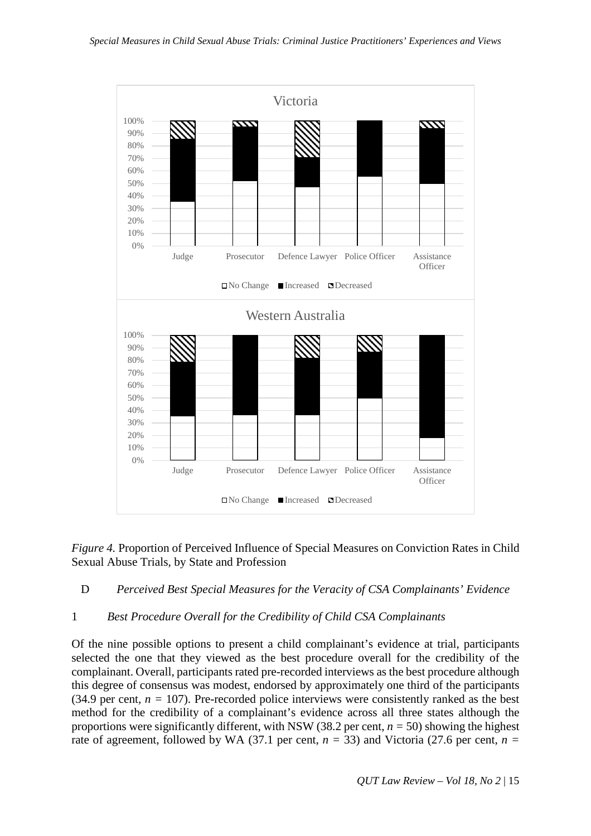

*Figure 4.* Proportion of Perceived Influence of Special Measures on Conviction Rates in Child Sexual Abuse Trials, by State and Profession

## D *Perceived Best Special Measures for the Veracity of CSA Complainants' Evidence*

## 1 *Best Procedure Overall for the Credibility of Child CSA Complainants*

Of the nine possible options to present a child complainant's evidence at trial, participants selected the one that they viewed as the best procedure overall for the credibility of the complainant. Overall, participants rated pre-recorded interviews as the best procedure although this degree of consensus was modest, endorsed by approximately one third of the participants (34.9 per cent,  $n = 107$ ). Pre-recorded police interviews were consistently ranked as the best method for the credibility of a complainant's evidence across all three states although the proportions were significantly different, with NSW (38.2 per cent, *n =* 50) showing the highest rate of agreement, followed by WA (37.1 per cent,  $n = 33$ ) and Victoria (27.6 per cent,  $n =$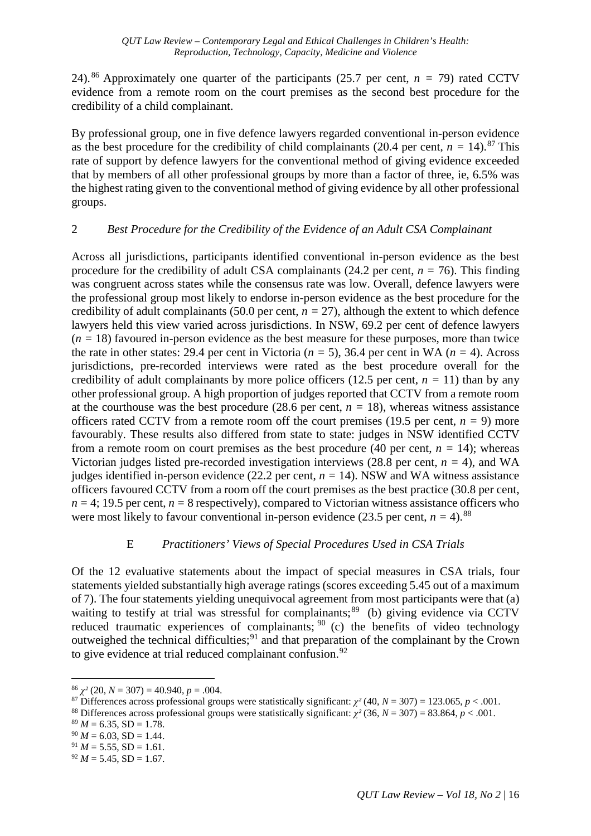24). <sup>[86](#page-15-0)</sup> Approximately one quarter of the participants (25.7 per cent,  $n = 79$ ) rated CCTV evidence from a remote room on the court premises as the second best procedure for the credibility of a child complainant.

By professional group, one in five defence lawyers regarded conventional in-person evidence as the best procedure for the credibility of child complainants  $(20.4 \text{ per cent}, n = 14).$ <sup>[87](#page-15-1)</sup> This rate of support by defence lawyers for the conventional method of giving evidence exceeded that by members of all other professional groups by more than a factor of three, ie, 6.5% was the highest rating given to the conventional method of giving evidence by all other professional groups.

## 2 *Best Procedure for the Credibility of the Evidence of an Adult CSA Complainant*

Across all jurisdictions, participants identified conventional in-person evidence as the best procedure for the credibility of adult CSA complainants (24.2 per cent,  $n = 76$ ). This finding was congruent across states while the consensus rate was low. Overall, defence lawyers were the professional group most likely to endorse in-person evidence as the best procedure for the credibility of adult complainants (50.0 per cent,  $n = 27$ ), although the extent to which defence lawyers held this view varied across jurisdictions. In NSW, 69.2 per cent of defence lawyers  $(n = 18)$  favoured in-person evidence as the best measure for these purposes, more than twice the rate in other states: 29.4 per cent in Victoria (*n =* 5), 36.4 per cent in WA (*n =* 4). Across jurisdictions, pre-recorded interviews were rated as the best procedure overall for the credibility of adult complainants by more police officers (12.5 per cent,  $n = 11$ ) than by any other professional group. A high proportion of judges reported that CCTV from a remote room at the courthouse was the best procedure  $(28.6 \text{ per cent}, n = 18)$ , whereas witness assistance officers rated CCTV from a remote room off the court premises (19.5 per cent,  $n = 9$ ) more favourably. These results also differed from state to state: judges in NSW identified CCTV from a remote room on court premises as the best procedure (40 per cent,  $n = 14$ ); whereas Victorian judges listed pre-recorded investigation interviews (28.8 per cent,  $n = 4$ ), and WA judges identified in-person evidence (22.2 per cent,  $n = 14$ ). NSW and WA witness assistance officers favoured CCTV from a room off the court premises as the best practice (30.8 per cent,  $n = 4$ ; 19.5 per cent,  $n = 8$  respectively), compared to Victorian witness assistance officers who were most likely to favour conventional in-person evidence  $(23.5 \text{ per cent}, n = 4)$ .<sup>88</sup>

## E *Practitioners' Views of Special Procedures Used in CSA Trials*

Of the 12 evaluative statements about the impact of special measures in CSA trials, four statements yielded substantially high average ratings (scores exceeding 5.45 out of a maximum of 7). The four statements yielding unequivocal agreement from most participants were that (a) waiting to testify at trial was stressful for complainants;<sup>[89](#page-15-3)</sup> (b) giving evidence via CCTV reduced traumatic experiences of complainants;  $90$  (c) the benefits of video technology outweighed the technical difficulties;<sup>[91](#page-15-5)</sup> and that preparation of the complainant by the Crown to give evidence at trial reduced complainant confusion.<sup>[92](#page-15-6)</sup>

<span id="page-15-1"></span><span id="page-15-0"></span><sup>&</sup>lt;sup>86</sup>  $\chi^2$  (20, N = 307) = 40.940, p = .004.<br><sup>87</sup> Differences across professional groups were statistically significant:  $\chi^2$  (40, N = 307) = 123.065, p < .001.<br><sup>88</sup> Differences across professional groups were statisti

<span id="page-15-2"></span>

<span id="page-15-3"></span> $89 M = 6.35$ , SD = 1.78.

<span id="page-15-4"></span> $^{90}$  *M* = 6.03, SD = 1.44.

<span id="page-15-5"></span> $^{91}$  *M* = 5.55, SD = 1.61.

<span id="page-15-6"></span> $^{92}$  *M* = 5.45, SD = 1.67.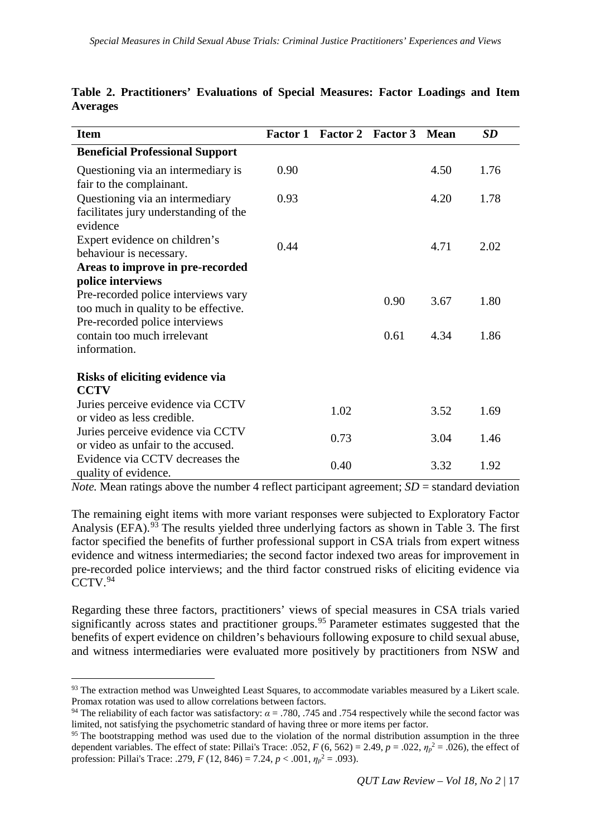| <b>Item</b>                                                                          | <b>Factor 1</b> | Factor 2 Factor 3 |      | <b>Mean</b> | <b>SD</b> |
|--------------------------------------------------------------------------------------|-----------------|-------------------|------|-------------|-----------|
| <b>Beneficial Professional Support</b>                                               |                 |                   |      |             |           |
| Questioning via an intermediary is<br>fair to the complainant.                       | 0.90            |                   |      | 4.50        | 1.76      |
| Questioning via an intermediary<br>facilitates jury understanding of the<br>evidence | 0.93            |                   |      | 4.20        | 1.78      |
| Expert evidence on children's<br>behaviour is necessary.                             | 0.44            |                   |      | 4.71        | 2.02      |
| Areas to improve in pre-recorded                                                     |                 |                   |      |             |           |
| police interviews                                                                    |                 |                   |      |             |           |
| Pre-recorded police interviews vary<br>too much in quality to be effective.          |                 |                   | 0.90 | 3.67        | 1.80      |
| Pre-recorded police interviews<br>contain too much irrelevant<br>information.        |                 |                   | 0.61 | 4.34        | 1.86      |
| Risks of eliciting evidence via<br><b>CCTV</b>                                       |                 |                   |      |             |           |
| Juries perceive evidence via CCTV<br>or video as less credible.                      |                 | 1.02              |      | 3.52        | 1.69      |
| Juries perceive evidence via CCTV<br>or video as unfair to the accused.              |                 | 0.73              |      | 3.04        | 1.46      |
| Evidence via CCTV decreases the<br>quality of evidence.                              |                 | 0.40              |      | 3.32        | 1.92      |

**Table 2. Practitioners' Evaluations of Special Measures: Factor Loadings and Item Averages**

*Note.* Mean ratings above the number 4 reflect participant agreement;  $SD =$  standard deviation

The remaining eight items with more variant responses were subjected to Exploratory Factor Analysis (EFA).<sup>[93](#page-16-0)</sup> The results yielded three underlying factors as shown in Table 3. The first factor specified the benefits of further professional support in CSA trials from expert witness evidence and witness intermediaries; the second factor indexed two areas for improvement in pre-recorded police interviews; and the third factor construed risks of eliciting evidence via CCTV. [94](#page-16-1)

Regarding these three factors, practitioners' views of special measures in CSA trials varied significantly across states and practitioner groups.<sup>[95](#page-16-2)</sup> Parameter estimates suggested that the benefits of expert evidence on children's behaviours following exposure to child sexual abuse, and witness intermediaries were evaluated more positively by practitioners from NSW and

<span id="page-16-0"></span><sup>93</sup> The extraction method was Unweighted Least Squares, to accommodate variables measured by a Likert scale. Promax rotation was used to allow correlations between factors.

<span id="page-16-1"></span><sup>&</sup>lt;sup>94</sup> The reliability of each factor was satisfactory:  $\alpha = .780, .745$  and .754 respectively while the second factor was limited, not satisfying the psychometric standard of having three or more items per factor.

<span id="page-16-2"></span><sup>&</sup>lt;sup>95</sup> The bootstrapping method was used due to the violation of the normal distribution assumption in the three dependent variables. The effect of state: Pillai's Trace: .052,  $F(6, 562) = 2.49$ ,  $p = .022$ ,  $\eta_p^2 = .026$ ), the effect of profession: Pillai's Trace: .279, *F* (12, 846) = 7.24, *p* < .001, *η<sup>p</sup>* <sup>2</sup> = .093).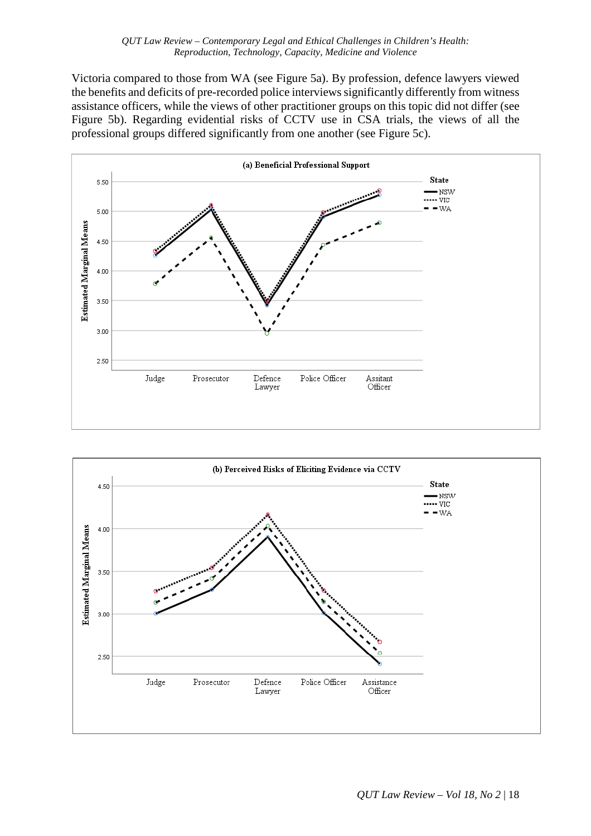Victoria compared to those from WA (see Figure 5a). By profession, defence lawyers viewed the benefits and deficits of pre-recorded police interviews significantly differently from witness assistance officers, while the views of other practitioner groups on this topic did not differ (see Figure 5b). Regarding evidential risks of CCTV use in CSA trials, the views of all the professional groups differed significantly from one another (see Figure 5c).



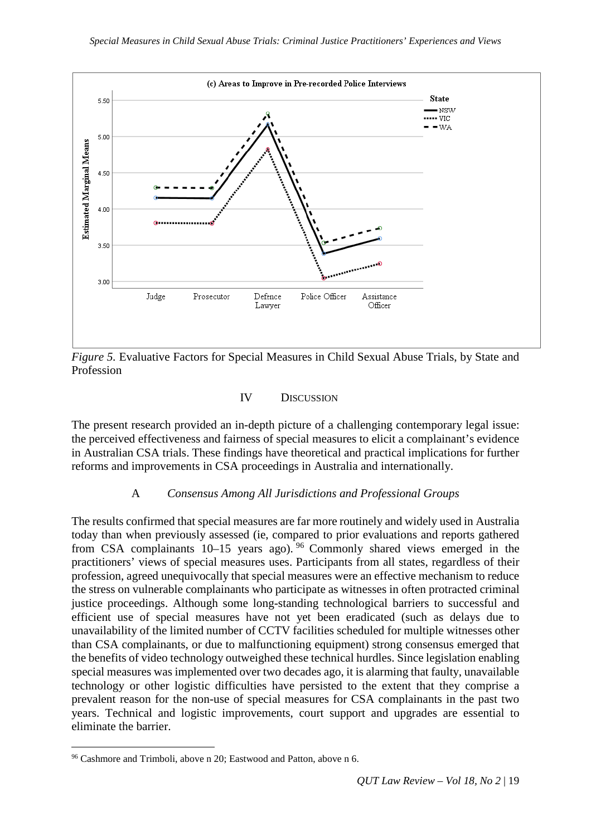

*Figure 5.* Evaluative Factors for Special Measures in Child Sexual Abuse Trials, by State and Profession

## IV DISCUSSION

The present research provided an in-depth picture of a challenging contemporary legal issue: the perceived effectiveness and fairness of special measures to elicit a complainant's evidence in Australian CSA trials. These findings have theoretical and practical implications for further reforms and improvements in CSA proceedings in Australia and internationally.

## A *Consensus Among All Jurisdictions and Professional Groups*

The results confirmed that special measures are far more routinely and widely used in Australia today than when previously assessed (ie, compared to prior evaluations and reports gathered from CSA complainants  $10-15$  years ago). <sup>[96](#page-18-0)</sup> Commonly shared views emerged in the practitioners' views of special measures uses. Participants from all states, regardless of their profession, agreed unequivocally that special measures were an effective mechanism to reduce the stress on vulnerable complainants who participate as witnesses in often protracted criminal justice proceedings. Although some long-standing technological barriers to successful and efficient use of special measures have not yet been eradicated (such as delays due to unavailability of the limited number of CCTV facilities scheduled for multiple witnesses other than CSA complainants, or due to malfunctioning equipment) strong consensus emerged that the benefits of video technology outweighed these technical hurdles. Since legislation enabling special measures was implemented over two decades ago, it is alarming that faulty, unavailable technology or other logistic difficulties have persisted to the extent that they comprise a prevalent reason for the non-use of special measures for CSA complainants in the past two years. Technical and logistic improvements, court support and upgrades are essential to eliminate the barrier.

<span id="page-18-0"></span> <sup>96</sup> Cashmore and Trimboli, above n 20; Eastwood and Patton, above n 6.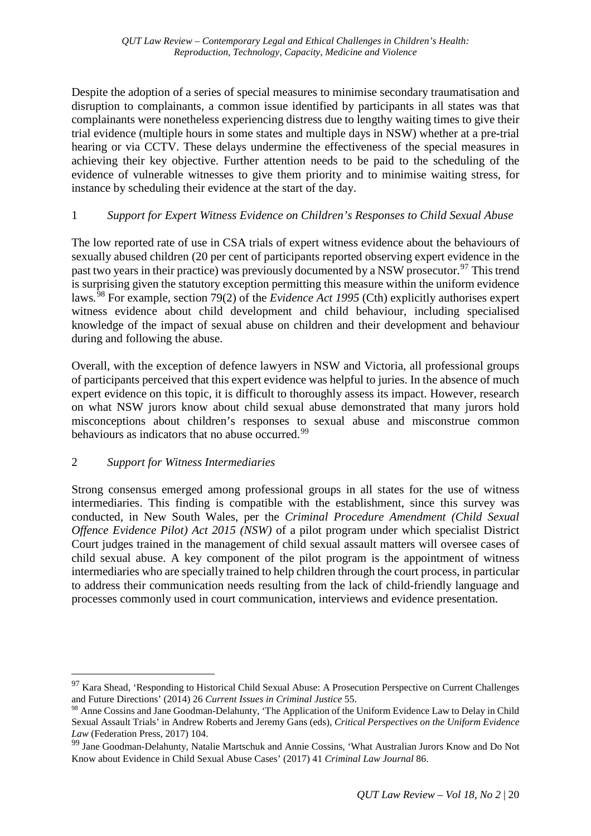Despite the adoption of a series of special measures to minimise secondary traumatisation and disruption to complainants, a common issue identified by participants in all states was that complainants were nonetheless experiencing distress due to lengthy waiting times to give their trial evidence (multiple hours in some states and multiple days in NSW) whether at a pre-trial hearing or via CCTV. These delays undermine the effectiveness of the special measures in achieving their key objective. Further attention needs to be paid to the scheduling of the evidence of vulnerable witnesses to give them priority and to minimise waiting stress, for instance by scheduling their evidence at the start of the day.

## 1 *Support for Expert Witness Evidence on Children's Responses to Child Sexual Abuse*

The low reported rate of use in CSA trials of expert witness evidence about the behaviours of sexually abused children (20 per cent of participants reported observing expert evidence in the past two years in their practice) was previously documented by a NSW prosecutor.<sup>[97](#page-19-0)</sup> This trend is surprising given the statutory exception permitting this measure within the uniform evidence laws*.* [98](#page-19-1) For example, section 79(2) of the *Evidence Act 1995* (Cth) explicitly authorises expert witness evidence about child development and child behaviour, including specialised knowledge of the impact of sexual abuse on children and their development and behaviour during and following the abuse.

Overall, with the exception of defence lawyers in NSW and Victoria, all professional groups of participants perceived that this expert evidence was helpful to juries. In the absence of much expert evidence on this topic, it is difficult to thoroughly assess its impact. However, research on what NSW jurors know about child sexual abuse demonstrated that many jurors hold misconceptions about children's responses to sexual abuse and misconstrue common behaviours as indicators that no abuse occurred.<sup>[99](#page-19-2)</sup>

# 2 *Support for Witness Intermediaries*

Strong consensus emerged among professional groups in all states for the use of witness intermediaries. This finding is compatible with the establishment, since this survey was conducted, in New South Wales, per the *Criminal Procedure Amendment (Child Sexual Offence Evidence Pilot) Act 2015 (NSW)* of a pilot program under which specialist District Court judges trained in the management of child sexual assault matters will oversee cases of child sexual abuse. A key component of the pilot program is the appointment of witness intermediaries who are specially trained to help children through the court process, in particular to address their communication needs resulting from the lack of child-friendly language and processes commonly used in court communication, interviews and evidence presentation.

<span id="page-19-0"></span><sup>&</sup>lt;sup>97</sup> Kara Shead, 'Responding to Historical Child Sexual Abuse: A Prosecution Perspective on Current Challenges and Future Directions' (2014) 26 *Current Issues in Criminal Justice* 55.

<span id="page-19-1"></span><sup>98</sup> Anne Cossins and Jane Goodman-Delahunty, 'The Application of the Uniform Evidence Law to Delay in Child Sexual Assault Trials' in Andrew Roberts and Jeremy Gans (eds), *Critical Perspectives on the Uniform Evidence Law* (Federation Press, 2017) 104.

<span id="page-19-2"></span><sup>&</sup>lt;sup>99</sup> Jane Goodman-Delahunty, Natalie Martschuk and Annie Cossins, 'What Australian Jurors Know and Do Not Know about Evidence in Child Sexual Abuse Cases' (2017) 41 *Criminal Law Journal* 86.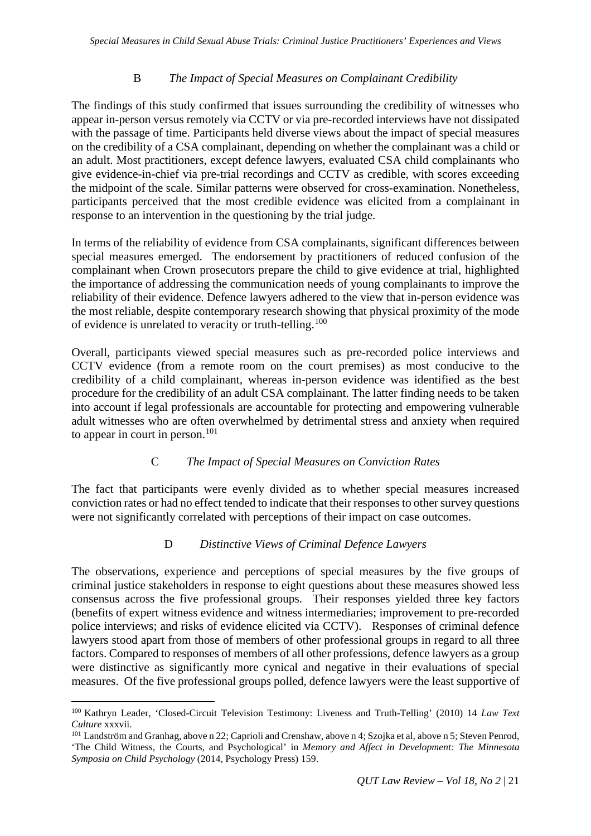## B *The Impact of Special Measures on Complainant Credibility*

The findings of this study confirmed that issues surrounding the credibility of witnesses who appear in-person versus remotely via CCTV or via pre-recorded interviews have not dissipated with the passage of time. Participants held diverse views about the impact of special measures on the credibility of a CSA complainant, depending on whether the complainant was a child or an adult. Most practitioners, except defence lawyers, evaluated CSA child complainants who give evidence-in-chief via pre-trial recordings and CCTV as credible, with scores exceeding the midpoint of the scale. Similar patterns were observed for cross-examination. Nonetheless, participants perceived that the most credible evidence was elicited from a complainant in response to an intervention in the questioning by the trial judge.

In terms of the reliability of evidence from CSA complainants, significant differences between special measures emerged. The endorsement by practitioners of reduced confusion of the complainant when Crown prosecutors prepare the child to give evidence at trial, highlighted the importance of addressing the communication needs of young complainants to improve the reliability of their evidence. Defence lawyers adhered to the view that in-person evidence was the most reliable, despite contemporary research showing that physical proximity of the mode of evidence is unrelated to veracity or truth-telling.<sup>[100](#page-20-0)</sup>

Overall, participants viewed special measures such as pre-recorded police interviews and CCTV evidence (from a remote room on the court premises) as most conducive to the credibility of a child complainant, whereas in-person evidence was identified as the best procedure for the credibility of an adult CSA complainant. The latter finding needs to be taken into account if legal professionals are accountable for protecting and empowering vulnerable adult witnesses who are often overwhelmed by detrimental stress and anxiety when required to appear in court in person.<sup>[101](#page-20-1)</sup>

## C *The Impact of Special Measures on Conviction Rates*

The fact that participants were evenly divided as to whether special measures increased conviction rates or had no effect tended to indicate that their responses to other survey questions were not significantly correlated with perceptions of their impact on case outcomes.

## D *Distinctive Views of Criminal Defence Lawyers*

The observations, experience and perceptions of special measures by the five groups of criminal justice stakeholders in response to eight questions about these measures showed less consensus across the five professional groups. Their responses yielded three key factors (benefits of expert witness evidence and witness intermediaries; improvement to pre-recorded police interviews; and risks of evidence elicited via CCTV). Responses of criminal defence lawyers stood apart from those of members of other professional groups in regard to all three factors. Compared to responses of members of all other professions, defence lawyers as a group were distinctive as significantly more cynical and negative in their evaluations of special measures. Of the five professional groups polled, defence lawyers were the least supportive of

<span id="page-20-0"></span> <sup>100</sup> Kathryn Leader, 'Closed-Circuit Television Testimony: Liveness and Truth-Telling' (2010) 14 *Law Text Culture* xxxvii.

<span id="page-20-1"></span><sup>101</sup> Landström and Granhag, above n 22; Caprioli and Crenshaw, above n 4; Szojka et al, above n 5; Steven Penrod, 'The Child Witness, the Courts, and Psychological' in *Memory and Affect in Development: The Minnesota Symposia on Child Psychology* (2014, Psychology Press) 159.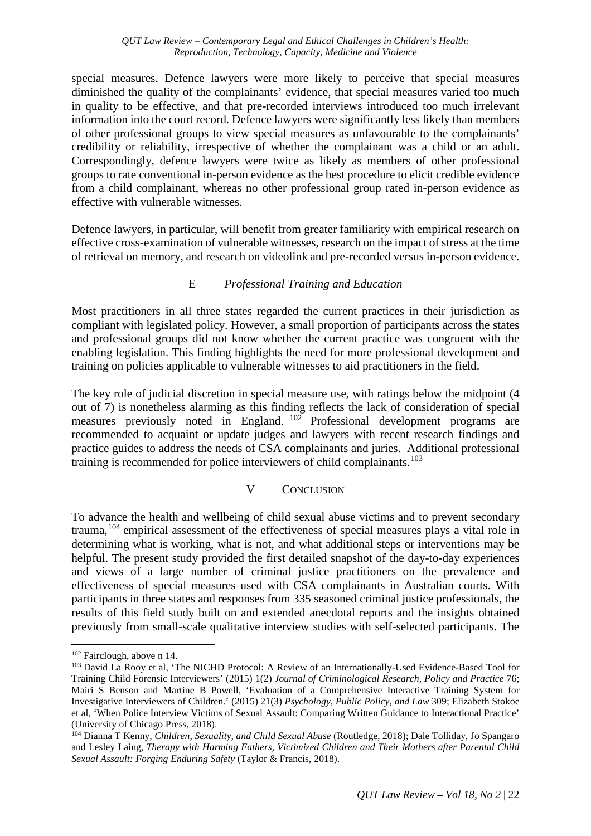special measures. Defence lawyers were more likely to perceive that special measures diminished the quality of the complainants' evidence, that special measures varied too much in quality to be effective, and that pre-recorded interviews introduced too much irrelevant information into the court record. Defence lawyers were significantly less likely than members of other professional groups to view special measures as unfavourable to the complainants' credibility or reliability, irrespective of whether the complainant was a child or an adult. Correspondingly, defence lawyers were twice as likely as members of other professional groups to rate conventional in-person evidence as the best procedure to elicit credible evidence from a child complainant, whereas no other professional group rated in-person evidence as effective with vulnerable witnesses.

Defence lawyers, in particular, will benefit from greater familiarity with empirical research on effective cross-examination of vulnerable witnesses, research on the impact of stress at the time of retrieval on memory, and research on videolink and pre-recorded versus in-person evidence.

## E *Professional Training and Education*

Most practitioners in all three states regarded the current practices in their jurisdiction as compliant with legislated policy. However, a small proportion of participants across the states and professional groups did not know whether the current practice was congruent with the enabling legislation. This finding highlights the need for more professional development and training on policies applicable to vulnerable witnesses to aid practitioners in the field.

The key role of judicial discretion in special measure use, with ratings below the midpoint (4 out of 7) is nonetheless alarming as this finding reflects the lack of consideration of special measures previously noted in England. [102](#page-21-0) Professional development programs are recommended to acquaint or update judges and lawyers with recent research findings and practice guides to address the needs of CSA complainants and juries. Additional professional training is recommended for police interviewers of child complainants.<sup>[103](#page-21-1)</sup>

## V CONCLUSION

To advance the health and wellbeing of child sexual abuse victims and to prevent secondary trauma,[104](#page-21-2) empirical assessment of the effectiveness of special measures plays a vital role in determining what is working, what is not, and what additional steps or interventions may be helpful. The present study provided the first detailed snapshot of the day-to-day experiences and views of a large number of criminal justice practitioners on the prevalence and effectiveness of special measures used with CSA complainants in Australian courts. With participants in three states and responses from 335 seasoned criminal justice professionals, the results of this field study built on and extended anecdotal reports and the insights obtained previously from small-scale qualitative interview studies with self-selected participants. The

<span id="page-21-0"></span> <sup>102</sup> Fairclough, above n 14.

<span id="page-21-1"></span><sup>&</sup>lt;sup>103</sup> David La Rooy et al, 'The NICHD Protocol: A Review of an Internationally-Used Evidence-Based Tool for Training Child Forensic Interviewers' (2015) 1(2) *Journal of Criminological Research, Policy and Practice* 76; Mairi S Benson and Martine B Powell, 'Evaluation of a Comprehensive Interactive Training System for Investigative Interviewers of Children.' (2015) 21(3) *Psychology, Public Policy, and Law* 309; Elizabeth Stokoe et al, 'When Police Interview Victims of Sexual Assault: Comparing Written Guidance to Interactional Practice' (University of Chicago Press, 2018).

<span id="page-21-2"></span><sup>104</sup> Dianna T Kenny, *Children, Sexuality, and Child Sexual Abuse* (Routledge, 2018); Dale Tolliday, Jo Spangaro and Lesley Laing, *Therapy with Harming Fathers, Victimized Children and Their Mothers after Parental Child Sexual Assault: Forging Enduring Safety* (Taylor & Francis, 2018).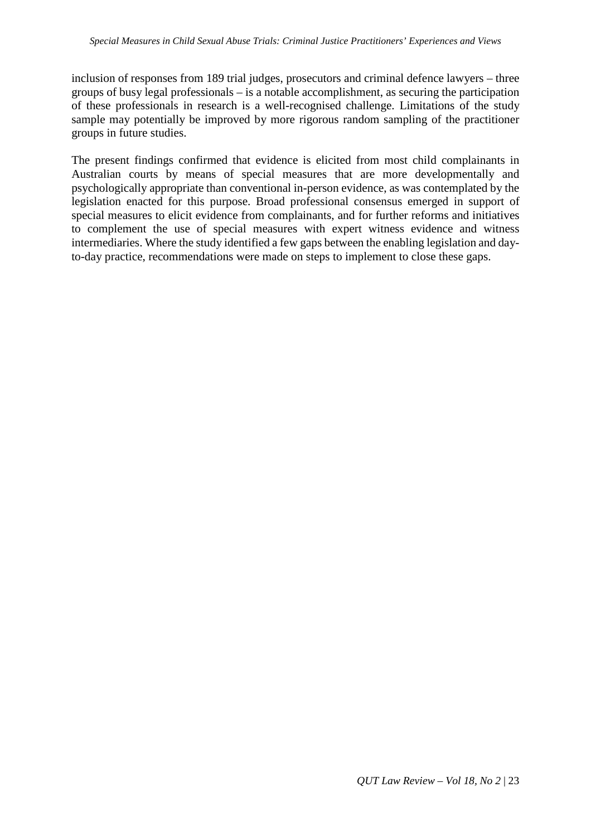inclusion of responses from 189 trial judges, prosecutors and criminal defence lawyers – three groups of busy legal professionals – is a notable accomplishment, as securing the participation of these professionals in research is a well-recognised challenge. Limitations of the study sample may potentially be improved by more rigorous random sampling of the practitioner groups in future studies.

The present findings confirmed that evidence is elicited from most child complainants in Australian courts by means of special measures that are more developmentally and psychologically appropriate than conventional in-person evidence, as was contemplated by the legislation enacted for this purpose. Broad professional consensus emerged in support of special measures to elicit evidence from complainants, and for further reforms and initiatives to complement the use of special measures with expert witness evidence and witness intermediaries. Where the study identified a few gaps between the enabling legislation and dayto-day practice, recommendations were made on steps to implement to close these gaps.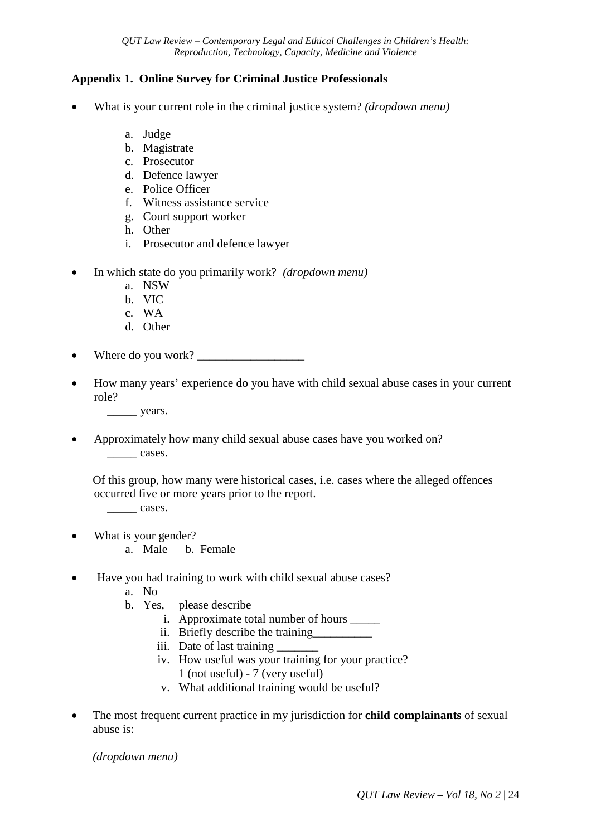## **Appendix 1. Online Survey for Criminal Justice Professionals**

- What is your current role in the criminal justice system? *(dropdown menu)*
	- a. Judge
	- b. Magistrate
	- c. Prosecutor
	- d. Defence lawyer
	- e. Police Officer
	- f. Witness assistance service
	- g. Court support worker
	- h. Other
	- i. Prosecutor and defence lawyer
- In which state do you primarily work? *(dropdown menu)*
	- a. NSW
	- b. VIC
	- c. WA
	- d. Other
- Where do you work?
- How many years' experience do you have with child sexual abuse cases in your current role?
	- \_\_\_\_\_ years.
- Approximately how many child sexual abuse cases have you worked on? cases.

Of this group, how many were historical cases, i.e. cases where the alleged offences occurred five or more years prior to the report.

\_\_\_\_\_ cases.

- What is your gender?
	- a. Male b. Female
- Have you had training to work with child sexual abuse cases?
	- a. No
	- b. Yes, please describe
		- i. Approximate total number of hours \_\_\_\_\_
		- ii. Briefly describe the training\_\_\_\_\_\_\_\_\_\_
		- iii. Date of last training
		- iv. How useful was your training for your practice? 1 (not useful) - 7 (very useful)
		- v. What additional training would be useful?
- The most frequent current practice in my jurisdiction for **child complainants** of sexual abuse is:

*(dropdown menu)*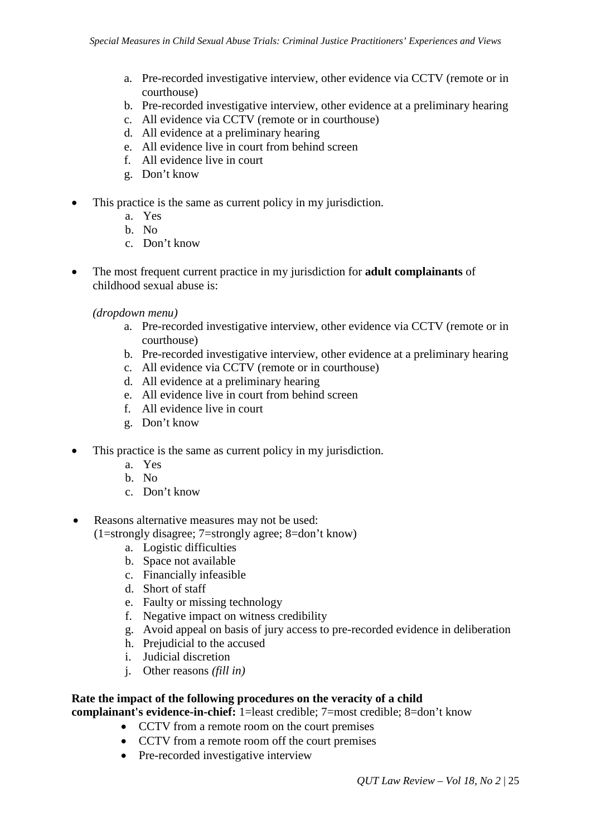- a. Pre-recorded investigative interview, other evidence via CCTV (remote or in courthouse)
- b. Pre-recorded investigative interview, other evidence at a preliminary hearing
- c. All evidence via CCTV (remote or in courthouse)
- d. All evidence at a preliminary hearing
- e. All evidence live in court from behind screen
- f. All evidence live in court
- g. Don't know
- This practice is the same as current policy in my jurisdiction.
	- a. Yes
	- b. No
	- c. Don't know
- The most frequent current practice in my jurisdiction for **adult complainants** of childhood sexual abuse is:

*(dropdown menu)*

- a. Pre-recorded investigative interview, other evidence via CCTV (remote or in courthouse)
- b. Pre-recorded investigative interview, other evidence at a preliminary hearing
- c. All evidence via CCTV (remote or in courthouse)
- d. All evidence at a preliminary hearing
- e. All evidence live in court from behind screen
- f. All evidence live in court
- g. Don't know
- This practice is the same as current policy in my jurisdiction.
	- a. Yes
	- b. No
	- c. Don't know

• Reasons alternative measures may not be used:

- (1=strongly disagree; 7=strongly agree; 8=don't know)
	- a. Logistic difficulties
	- b. Space not available
	- c. Financially infeasible
	- d. Short of staff
	- e. Faulty or missing technology
	- f. Negative impact on witness credibility
	- g. Avoid appeal on basis of jury access to pre-recorded evidence in deliberation
	- h. Prejudicial to the accused
	- i. Judicial discretion
	- j. Other reasons *(fill in)*

# **Rate the impact of the following procedures on the veracity of a child**

**complainant's evidence-in-chief:** 1=least credible; 7=most credible; 8=don't know

- CCTV from a remote room on the court premises
- CCTV from a remote room off the court premises
- Pre-recorded investigative interview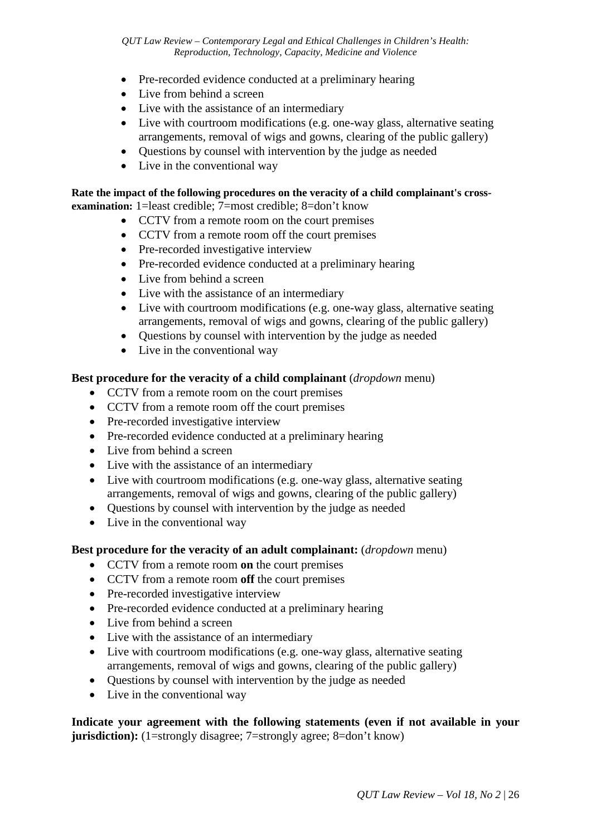*QUT Law Review – Contemporary Legal and Ethical Challenges in Children's Health: Reproduction, Technology, Capacity, Medicine and Violence*

- Pre-recorded evidence conducted at a preliminary hearing
- Live from behind a screen
- Live with the assistance of an intermediary
- Live with courtroom modifications (e.g. one-way glass, alternative seating arrangements, removal of wigs and gowns, clearing of the public gallery)
- Questions by counsel with intervention by the judge as needed
- Live in the conventional way

#### **Rate the impact of the following procedures on the veracity of a child complainant's crossexamination:** 1=least credible; 7=most credible; 8=don't know

- CCTV from a remote room on the court premises
	- CCTV from a remote room off the court premises
	- Pre-recorded investigative interview
	- Pre-recorded evidence conducted at a preliminary hearing
	- Live from behind a screen
	- Live with the assistance of an intermediary
	- Live with courtroom modifications (e.g. one-way glass, alternative seating arrangements, removal of wigs and gowns, clearing of the public gallery)
- Questions by counsel with intervention by the judge as needed
- Live in the conventional way

#### **Best procedure for the veracity of a child complainant** (*dropdown* menu)

- CCTV from a remote room on the court premises
- CCTV from a remote room off the court premises
- Pre-recorded investigative interview
- Pre-recorded evidence conducted at a preliminary hearing
- Live from behind a screen
- Live with the assistance of an intermediary
- Live with courtroom modifications (e.g. one-way glass, alternative seating arrangements, removal of wigs and gowns, clearing of the public gallery)
- Questions by counsel with intervention by the judge as needed
- Live in the conventional way

#### **Best procedure for the veracity of an adult complainant:** (*dropdown* menu)

- CCTV from a remote room **on** the court premises
- CCTV from a remote room **off** the court premises
- Pre-recorded investigative interview
- Pre-recorded evidence conducted at a preliminary hearing
- Live from behind a screen
- Live with the assistance of an intermediary
- Live with courtroom modifications (e.g. one-way glass, alternative seating arrangements, removal of wigs and gowns, clearing of the public gallery)
- Questions by counsel with intervention by the judge as needed
- Live in the conventional way

**Indicate your agreement with the following statements (even if not available in your jurisdiction):** (1=strongly disagree; 7=strongly agree; 8=don't know)